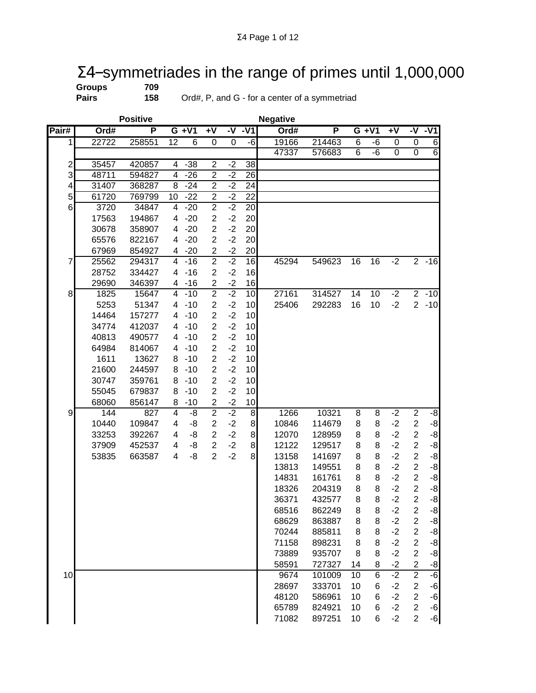## $\Sigma$ 4-symmetriades in the range of primes until 1,000,000<br>Groups 709<br>Pairs 158 Ord#, P, and G - for a center of a symmetriad

**Groups**<br>Pairs

**Pairs 158** Ord#, P, and G - for a center of a symmetriad

|                         |       | <b>Positive</b> |                 |                |                |             |                | <b>Negative</b> |        |    |                 |                |                |                   |
|-------------------------|-------|-----------------|-----------------|----------------|----------------|-------------|----------------|-----------------|--------|----|-----------------|----------------|----------------|-------------------|
| Pair#                   | Ord#  | P               |                 | $G + V1$       | $+V$           | $-\sqrt{ }$ | $-V1$          | Ord#            | P      |    | $G + V1$        | $+V$           | -V             | $-V1$             |
| 1                       | 22722 | 258551          | $\overline{12}$ | $\overline{6}$ | 0              | 0           | -6             | 19166           | 214463 | 6  | -6              | 0              | 0              | $6 \,$            |
|                         |       |                 |                 |                |                |             |                | 47337           | 576683 | 6  | $-6$            | $\overline{0}$ | $\overline{0}$ | 6                 |
| $\overline{\mathbf{c}}$ | 35457 | 420857          | 4               | $-38$          | $\overline{2}$ | $-2$        | 38             |                 |        |    |                 |                |                |                   |
| 3                       | 48711 | 594827          | 4               | $-26$          | $\overline{2}$ | $-2$        | 26             |                 |        |    |                 |                |                |                   |
| 4                       | 31407 | 368287          | 8               | $-24$          | $\overline{2}$ | $-2$        | 24             |                 |        |    |                 |                |                |                   |
| 5                       | 61720 | 769799          | 10              | $-22$          | $\mathbf 2$    | $-2$        | 22             |                 |        |    |                 |                |                |                   |
| 6                       | 3720  | 34847           | 4               | $-20$          | $\overline{2}$ | $-2$        | 20             |                 |        |    |                 |                |                |                   |
|                         | 17563 | 194867          | 4               | $-20$          | $\overline{2}$ | $-2$        | 20             |                 |        |    |                 |                |                |                   |
|                         | 30678 | 358907          | 4               | $-20$          | $\overline{c}$ | $-2$        | 20             |                 |        |    |                 |                |                |                   |
|                         | 65576 | 822167          | 4               | $-20$          | $\overline{2}$ | $-2$        | 20             |                 |        |    |                 |                |                |                   |
|                         | 67969 | 854927          | 4               | $-20$          | $\overline{c}$ | $-2$        | 20             |                 |        |    |                 |                |                |                   |
| 7                       | 25562 | 294317          | 4               | $-16$          | $\overline{2}$ | $-2$        | 16             | 45294           | 549623 | 16 | 16              | $-2$           | $\overline{2}$ | $-16$             |
|                         | 28752 | 334427          | 4               | $-16$          | $\overline{2}$ | $-2$        | 16             |                 |        |    |                 |                |                |                   |
|                         | 29690 | 346397          | 4               | $-16$          | $\overline{2}$ | $-2$        | 16             |                 |        |    |                 |                |                |                   |
| 8                       | 1825  | 15647           | 4               | $-10$          | $\overline{2}$ | $-2$        | 10             | 27161           | 314527 | 14 | $\overline{10}$ | $-2$           | $\overline{2}$ | $-10$             |
|                         | 5253  | 51347           | 4               | $-10$          | $\overline{2}$ | $-2$        | 10             | 25406           | 292283 | 16 | 10              | $-2$           | $\overline{2}$ | $-10$             |
|                         | 14464 | 157277          | 4               | $-10$          | $\overline{2}$ | $-2$        | 10             |                 |        |    |                 |                |                |                   |
|                         | 34774 | 412037          | 4               | $-10$          | $\overline{c}$ | $-2$        | 10             |                 |        |    |                 |                |                |                   |
|                         | 40813 | 490577          | 4               | $-10$          | $\overline{2}$ | $-2$        | 10             |                 |        |    |                 |                |                |                   |
|                         | 64984 | 814067          | 4               | $-10$          | $\overline{2}$ | $-2$        | 10             |                 |        |    |                 |                |                |                   |
|                         | 1611  | 13627           | 8               | $-10$          | $\overline{2}$ | $-2$        | 10             |                 |        |    |                 |                |                |                   |
|                         | 21600 | 244597          | 8               | $-10$          | $\overline{2}$ | $-2$        | 10             |                 |        |    |                 |                |                |                   |
|                         | 30747 | 359761          | 8               | $-10$          | $\overline{2}$ | $-2$        | 10             |                 |        |    |                 |                |                |                   |
|                         | 55045 | 679837          | 8               | $-10$          | $\overline{2}$ | $-2$        | 10             |                 |        |    |                 |                |                |                   |
|                         | 68060 | 856147          | 8               | $-10$          | $\mathbf 2$    | $-2$        | 10             |                 |        |    |                 |                |                |                   |
| 9                       | 144   | 827             | 4               | -8             | $\overline{2}$ | $-2$        | 8 <sup>1</sup> | 1266            | 10321  | 8  | 8               | $-2$           | $\overline{2}$ | $-8$              |
|                         | 10440 | 109847          | 4               | -8             | $\overline{2}$ | $-2$        | $\bf{8}$       | 10846           | 114679 | 8  | 8               | $-2$           | $\mathbf 2$    | $-8$              |
|                         | 33253 | 392267          | 4               | -8             | $\overline{2}$ | $-2$        | 8 <sup>1</sup> | 12070           | 128959 | 8  | 8               | $-2$           | $\overline{2}$ | $-8$              |
|                         | 37909 | 452537          | 4               | -8             | $\overline{2}$ | $-2$        | 8 <sup>1</sup> | 12122           | 129517 | 8  | 8               | $-2$           | $\overline{2}$ | $-8$              |
|                         | 53835 | 663587          | 4               | -8             | $\overline{2}$ | $-2$        | 8 <sup>1</sup> | 13158           | 141697 | 8  | 8               | $-2$           | $\overline{c}$ | $-8$              |
|                         |       |                 |                 |                |                |             |                | 13813           | 149551 | 8  | 8               | $-2$           | $\overline{c}$ | $-8$              |
|                         |       |                 |                 |                |                |             |                | 14831           | 161761 | 8  | 8               | $-2$           | $\overline{c}$ | $-8$              |
|                         |       |                 |                 |                |                |             |                | 18326           | 204319 | 8  | 8               | $-2$           | $\overline{c}$ | $-8$              |
|                         |       |                 |                 |                |                |             |                | 36371           | 432577 | 8  | 8               | $-2$           | $\overline{2}$ | $-8$              |
|                         |       |                 |                 |                |                |             |                | 68516           | 862249 | 8  | 8               | $-2$           | 2              | -8                |
|                         |       |                 |                 |                |                |             |                | 68629           | 863887 | 8  | 8               | $-2$           | $\overline{c}$ | $-8$              |
|                         |       |                 |                 |                |                |             |                | 70244           | 885811 | 8  | 8               | $-2$           | $\overline{2}$ | $\textnormal{-}8$ |
|                         |       |                 |                 |                |                |             |                | 71158           | 898231 | 8  | 8               | $-2$           | $\overline{2}$ | $\textnormal{-}8$ |
|                         |       |                 |                 |                |                |             |                | 73889           | 935707 | 8  | 8               | $-2$           | $\overline{c}$ | $-8$              |
|                         |       |                 |                 |                |                |             |                | 58591           | 727327 | 14 | 8               | $-2$           | $\overline{c}$ | $-8$              |
| 10                      |       |                 |                 |                |                |             |                | 9674            | 101009 | 10 | 6               | $-2$           | $\overline{2}$ | $-6$              |
|                         |       |                 |                 |                |                |             |                | 28697           | 333701 | 10 | 6               | $-2$           | $\overline{c}$ | -6                |
|                         |       |                 |                 |                |                |             |                | 48120           | 586961 | 10 | 6               | $-2$           | $\overline{c}$ | $-6$              |
|                         |       |                 |                 |                |                |             |                | 65789           | 824921 | 10 | 6               | $-2$           | $\overline{2}$ | $-6$              |
|                         |       |                 |                 |                |                |             |                | 71082           | 897251 | 10 | 6               | $-2$           | $\overline{2}$ | $-6$              |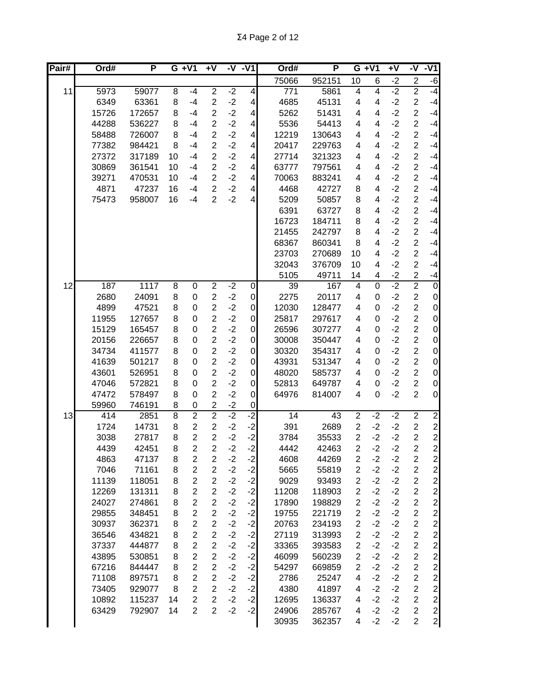Σ4 Page 2 of 12

| Pair# | Ord#         | P              |        | $G + V1$         | $+V$           | -V           | $-V1$                   | Ord#             | P      |                  | $G + V1$                | $+V$ | -V                      | $-V1$                          |
|-------|--------------|----------------|--------|------------------|----------------|--------------|-------------------------|------------------|--------|------------------|-------------------------|------|-------------------------|--------------------------------|
|       |              |                |        |                  |                |              |                         | 75066            | 952151 | 10               | 6                       | $-2$ | $\mathbf 2$             | $-6$                           |
| 11    | 5973         | 59077          | 8      | $-4$             | $\overline{2}$ | $-2$         | $\overline{4}$          | $\overline{771}$ | 5861   | 4                | $\overline{4}$          | $-2$ | $\overline{2}$          | $-4$                           |
|       | 6349         | 63361          | 8      | $-4$             | $\overline{2}$ | $-2$         | $\overline{\mathbf{4}}$ | 4685             | 45131  | 4                | 4                       | $-2$ | $\overline{c}$          | $-4$                           |
|       | 15726        | 172657         | 8      | $-4$             | $\overline{c}$ | $-2$         | $\overline{\mathbf{4}}$ | 5262             | 51431  | 4                | 4                       | $-2$ | $\overline{2}$          | $-4$                           |
|       | 44288        | 536227         | 8      | $-4$             | $\overline{c}$ | $-2$         | 4                       | 5536             | 54413  | 4                | 4                       | $-2$ | $\overline{2}$          | $-4$                           |
|       | 58488        | 726007         | 8      | $-4$             | $\overline{2}$ | $-2$         | $\overline{4}$          | 12219            | 130643 | 4                | 4                       | $-2$ | $\overline{2}$          | $-4$                           |
|       | 77382        | 984421         | 8      | $-4$             | $\overline{2}$ | $-2$         | 4                       | 20417            | 229763 | 4                | 4                       | $-2$ | $\overline{c}$          | $-4$                           |
|       | 27372        | 317189         | 10     | $-4$             | $\overline{2}$ | $-2$         | 4                       | 27714            | 321323 | 4                | 4                       | $-2$ | $\overline{c}$          | $-4$                           |
|       | 30869        | 361541         | 10     | $-4$             | $\overline{2}$ | $-2$         | $\overline{\mathbf{4}}$ | 63777            | 797561 | 4                | 4                       | $-2$ | $\overline{c}$          | $-4$                           |
|       | 39271        | 470531         | 10     | $-4$             | $\overline{2}$ | $-2$         | $\overline{\mathbf{4}}$ | 70063            | 883241 | 4                | 4                       | $-2$ | $\overline{c}$          | $-4$                           |
|       | 4871         | 47237          | 16     | $-4$             | $\overline{2}$ | $-2$         | $\overline{\mathbf{4}}$ | 4468             | 42727  | 8                | 4                       | $-2$ | $\overline{c}$          | $-4$                           |
|       | 75473        | 958007         | 16     | $-4$             | $\overline{2}$ | $-2$         | $\overline{4}$          | 5209             | 50857  | 8                | 4                       | $-2$ | $\overline{\mathbf{c}}$ | $-4$                           |
|       |              |                |        |                  |                |              |                         | 6391             | 63727  | 8                | 4                       | $-2$ | $\overline{c}$          | $-4$                           |
|       |              |                |        |                  |                |              |                         | 16723            | 184711 | 8                | 4                       | $-2$ | $\overline{2}$          | $-4$                           |
|       |              |                |        |                  |                |              |                         | 21455            | 242797 | 8                | 4                       | $-2$ | $\overline{2}$          | $-4$                           |
|       |              |                |        |                  |                |              |                         | 68367            | 860341 | 8                | 4                       | $-2$ | $\overline{c}$          | $-4$                           |
|       |              |                |        |                  |                |              |                         | 23703            | 270689 | 10               | 4                       | $-2$ | $\overline{c}$          | $-4$                           |
|       |              |                |        |                  |                |              |                         | 32043            | 376709 | 10               | $\overline{\mathbf{4}}$ | $-2$ | $\overline{2}$          | $-4$                           |
|       |              |                |        |                  |                |              |                         | 5105             | 49711  | 14               | 4                       | $-2$ | $\overline{c}$          | $-4$                           |
| 12    | 187          | 1117           | 8      | $\overline{0}$   | $\overline{2}$ | $-2$         | $\boldsymbol{0}$        | $\overline{39}$  | 167    | 4                | $\overline{0}$          | $-2$ | $\overline{2}$          | $\overline{0}$                 |
|       | 2680         | 24091          | 8      | $\boldsymbol{0}$ | $\overline{c}$ | $-2$         | $\overline{0}$          | 2275             | 20117  | 4                | $\mathbf 0$             | $-2$ | $\overline{c}$          | $\pmb{0}$                      |
|       | 4899         | 47521          | 8      | $\boldsymbol{0}$ | $\overline{c}$ | $-2$         | $\mathbf 0$             | 12030            | 128477 | 4                | 0                       | $-2$ | $\overline{c}$          | $\mathbf 0$                    |
|       | 11955        | 127657         | 8      | $\mathbf 0$      | $\overline{2}$ | $-2$         | $\mathbf 0$             | 25817            | 297617 | 4                | 0                       | $-2$ | $\overline{2}$          | $\mathbf 0$                    |
|       | 15129        | 165457         | 8      | $\mathbf 0$      | $\overline{2}$ | $-2$         | $\mathbf 0$             | 26596            | 307277 | 4                | 0                       | $-2$ | $\overline{c}$          | $\mathbf 0$                    |
|       | 20156        | 226657         | 8      | $\mathbf 0$      | $\overline{2}$ | $-2$         | $\overline{0}$          | 30008            | 350447 | 4                | 0                       | $-2$ | $\overline{c}$          | $\mathbf 0$                    |
|       | 34734        | 411577         | 8      | $\mathbf 0$      | $\overline{2}$ | $-2$         | $\mathbf 0$             | 30320            | 354317 | 4                | $\mathbf 0$             | $-2$ | $\overline{c}$          | $\pmb{0}$                      |
|       | 41639        | 501217         | 8      | $\mathbf 0$      | $\overline{2}$ | $-2$         | $\mathbf 0$             | 43931            | 531347 | 4                | 0                       | $-2$ | $\overline{c}$          | $\mathbf 0$                    |
|       | 43601        | 526951         | 8      | $\mathbf 0$      | $\overline{2}$ | $-2$         | $\mathbf 0$             | 48020            | 585737 | 4                | 0                       | $-2$ | 2                       |                                |
|       | 47046        | 572821         | 8      | $\mathbf 0$      | $\overline{c}$ | $-2$         | $\mathbf 0$             | 52813            | 649787 |                  | 0                       | $-2$ |                         | $\pmb{0}$                      |
|       | 47472        | 578497         | 8      | $\mathbf 0$      | $\overline{2}$ | $-2$         |                         | 64976            | 814007 | 4<br>4           | $\mathbf 0$             | $-2$ | 2<br>$\overline{c}$     | $\mathbf 0$<br>$\mathbf 0$     |
|       |              |                |        | $\boldsymbol{0}$ | $\overline{c}$ | $-2$         | $\boldsymbol{0}$        |                  |        |                  |                         |      |                         |                                |
| 13    | 59960<br>414 | 746191<br>2851 | 8<br>8 | $\overline{2}$   | $\overline{2}$ | $-2$         | $\overline{0}$<br>$-2$  | $\overline{1}4$  | 43     | $\overline{2}$   | $-2$                    | $-2$ | $\overline{c}$          | $\overline{2}$                 |
|       |              |                |        | $\overline{2}$   | $\overline{c}$ | $-2$         |                         |                  | 2689   |                  |                         | $-2$ |                         |                                |
|       | 1724         | 14731          | 8      |                  | $\overline{2}$ |              | $-2$                    | 391              |        | $\overline{c}$   | $-2$                    |      | $\overline{c}$          | $\overline{c}$                 |
|       | 3038         | 27817          | 8      | $\overline{2}$   |                | $-2$<br>$-2$ | $-2$                    | 3784             | 35533  | $\overline{2}$   | $-2$                    | $-2$ | $\overline{2}$          | $\mathbf{2}$<br>$\overline{2}$ |
|       | 4439         | 42451          | 8      | $\overline{2}$   | $\overline{2}$ |              | $-2$                    | 4442             | 42463  | $\overline{2}$   | $-2$                    | $-2$ | $\overline{2}$          |                                |
|       | 4863         | 47137          | 8      | $\boldsymbol{2}$ | $\overline{c}$ | $-2$         | $-2$                    | 4608             | 44269  | $\boldsymbol{2}$ | $-2$                    | $-2$ | $\boldsymbol{2}$        |                                |
|       | 7046         | 71161          | 8      | $\overline{c}$   | $\overline{c}$ | $-2$         | $-2$                    | 5665             | 55819  | $\boldsymbol{2}$ | $-2$                    | $-2$ | $\overline{c}$          |                                |
|       | 11139        | 118051         | 8      | $\overline{2}$   | $\overline{2}$ | $-2$         | $-2$                    | 9029             | 93493  | $\overline{2}$   | $-2$                    | $-2$ | $\overline{2}$          |                                |
|       | 12269        | 131311         | 8      | $\overline{c}$   | $\overline{2}$ | $-2$         | $-2$                    | 11208            | 118903 | $\overline{2}$   | $-2$                    | $-2$ | $\overline{c}$          |                                |
|       | 24027        | 274861         | 8      | $\overline{c}$   | $\overline{2}$ | $-2$         | $-2$                    | 17890            | 198829 | 2                | $-2$                    | $-2$ | $\overline{c}$          |                                |
|       | 29855        | 348451         | 8      | $\overline{c}$   | $\overline{2}$ | $-2$         | $-2$                    | 19755            | 221719 | 2                | $-2$                    | $-2$ | $\overline{c}$          |                                |
|       | 30937        | 362371         | 8      | $\overline{c}$   | $\overline{2}$ | $-2$         | $-2$                    | 20763            | 234193 | $\overline{2}$   | $-2$                    | $-2$ | $\overline{c}$          |                                |
|       | 36546        | 434821         | 8      | $\overline{c}$   | $\overline{2}$ | $-2$         | $-2$                    | 27119            | 313993 | $\overline{2}$   | $-2$                    | $-2$ | $\overline{2}$          |                                |
|       | 37337        | 444877         | 8      | $\overline{c}$   | $\overline{2}$ | $-2$         | $-2$                    | 33365            | 393583 | 2                | $-2$                    | $-2$ | $\overline{\mathbf{c}}$ |                                |
|       | 43895        | 530851         | 8      | $\overline{2}$   | $\overline{c}$ | $-2$         | $-2$                    | 46099            | 560239 | $\overline{c}$   | $-2$                    | $-2$ | $\overline{\mathbf{c}}$ |                                |
|       | 67216        | 844447         | 8      | $\overline{c}$   | $\overline{c}$ | $-2$         | $-2$                    | 54297            | 669859 | $\overline{2}$   | $-2$                    | $-2$ | $\overline{\mathbf{c}}$ |                                |
|       | 71108        | 897571         | 8      | $\overline{c}$   | $\overline{c}$ | $-2$         | $-2$                    | 2786             | 25247  | 4                | $-2$                    | $-2$ | $\overline{c}$          |                                |
|       | 73405        | 929077         | 8      | $\overline{c}$   | $\overline{2}$ | $-2$         | $-2$                    | 4380             | 41897  | 4                | $-2$                    | $-2$ | $\overline{\mathbf{c}}$ |                                |
|       | 10892        | 115237         | 14     | $\overline{c}$   | $\overline{2}$ | $-2$         | $-2$                    | 12695            | 136337 | 4                | $-2$                    | $-2$ | $\overline{\mathbf{c}}$ |                                |
|       | 63429        | 792907         | 14     | $\overline{c}$   | $\overline{2}$ | $-2$         | $-2$                    | 24906            | 285767 | 4                | $-2$                    | $-2$ | $\overline{c}$          |                                |
|       |              |                |        |                  |                |              |                         | 30935            | 362357 | 4                | $-2$                    | $-2$ | $\overline{2}$          |                                |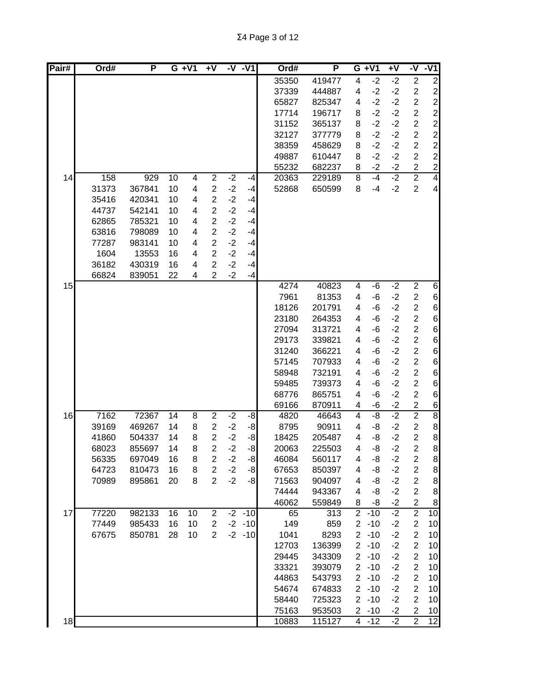| Pair# | Ord#  | P      | $G + V1$ |    | +٧                               |              | -V -V1    | Ord#  | P      |                | $G + V1$ | $\overline{+V}$ | -V                               | $-V1$           |
|-------|-------|--------|----------|----|----------------------------------|--------------|-----------|-------|--------|----------------|----------|-----------------|----------------------------------|-----------------|
|       |       |        |          |    |                                  |              |           | 35350 | 419477 | 4              | $-2$     | $-2$            | $\overline{c}$                   | $\mathbf{2}$    |
|       |       |        |          |    |                                  |              |           | 37339 | 444887 | 4              | $-2$     | $-2$            | $\boldsymbol{2}$                 |                 |
|       |       |        |          |    |                                  |              |           | 65827 | 825347 | 4              | $-2$     | $-2$            | $\overline{2}$                   | $\frac{2}{2}$   |
|       |       |        |          |    |                                  |              |           | 17714 | 196717 | 8              | $-2$     | $-2$            | $\overline{\mathbf{c}}$          | $\overline{a}$  |
|       |       |        |          |    |                                  |              |           | 31152 | 365137 | 8              | $-2$     | $-2$            | $\overline{c}$                   | $\mathbf{2}$    |
|       |       |        |          |    |                                  |              |           | 32127 | 377779 | 8              | $-2$     | $-2$            | $\overline{\mathbf{c}}$          | $\mathbf{2}$    |
|       |       |        |          |    |                                  |              |           | 38359 | 458629 | 8              | $-2$     | $-2$            | $\overline{c}$                   | $\mathbf{2}$    |
|       |       |        |          |    |                                  |              |           | 49887 | 610447 | 8              | $-2$     | $-2$            | $\overline{c}$                   | $\overline{c}$  |
|       |       |        |          |    |                                  |              |           | 55232 | 682237 | 8              | $-2$     | $-2$            | $\overline{c}$                   | $\overline{2}$  |
| 14    | 158   | 929    | 10       | 4  | $\overline{c}$                   | $-2$         | -4        | 20363 | 229189 | 8              | $-4$     | $-2$            | $\overline{2}$                   | $\overline{4}$  |
|       | 31373 | 367841 | 10       | 4  | $\overline{2}$                   | $-2$         | $-4$      | 52868 | 650599 | 8              | $-4$     | $-2$            | $\overline{2}$                   | $\overline{4}$  |
|       | 35416 | 420341 | 10       | 4  | $\overline{2}$                   | $-2$         | -4        |       |        |                |          |                 |                                  |                 |
|       | 44737 | 542141 | 10       | 4  | $\overline{2}$                   | $-2$         | $-4$      |       |        |                |          |                 |                                  |                 |
|       | 62865 | 785321 | 10       | 4  | $\overline{2}$                   | $-2$         | -4        |       |        |                |          |                 |                                  |                 |
|       | 63816 | 798089 | 10       | 4  | $\overline{2}$                   | $-2$         | -4        |       |        |                |          |                 |                                  |                 |
|       | 77287 | 983141 | 10       | 4  | $\overline{2}$                   | $-2$         | $-4$      |       |        |                |          |                 |                                  |                 |
|       | 1604  | 13553  | 16       | 4  | $\overline{2}$                   | $-2$         | $-4$      |       |        |                |          |                 |                                  |                 |
|       | 36182 | 430319 | 16       | 4  | $\overline{2}$<br>$\overline{2}$ | $-2$<br>$-2$ | $-4$      |       |        |                |          |                 |                                  |                 |
| 15    | 66824 | 839051 | 22       | 4  |                                  |              | $-4$      | 4274  | 40823  | 4              | -6       | $-2$            | $\overline{2}$                   | 6               |
|       |       |        |          |    |                                  |              |           | 7961  | 81353  | 4              | -6       | $-2$            | $\overline{\mathbf{c}}$          | $6 \mid$        |
|       |       |        |          |    |                                  |              |           | 18126 | 201791 | 4              | -6       | $-2$            | $\overline{c}$                   | $6 \mid$        |
|       |       |        |          |    |                                  |              |           | 23180 | 264353 | 4              | -6       | $-2$            | $\overline{\mathbf{c}}$          | 6               |
|       |       |        |          |    |                                  |              |           | 27094 | 313721 | 4              | -6       | $-2$            | $\overline{c}$                   | 6               |
|       |       |        |          |    |                                  |              |           | 29173 | 339821 | 4              | -6       | $-2$            | $\overline{c}$                   | $6 \mid$        |
|       |       |        |          |    |                                  |              |           | 31240 | 366221 | 4              | -6       | $-2$            | $\overline{c}$                   | $6 \mid$        |
|       |       |        |          |    |                                  |              |           | 57145 | 707933 | 4              | -6       | $-2$            | $\overline{c}$                   | $6 \mid$        |
|       |       |        |          |    |                                  |              |           | 58948 | 732191 | 4              | -6       | $-2$            | $\overline{2}$                   | $6\vert$        |
|       |       |        |          |    |                                  |              |           | 59485 | 739373 | 4              | -6       | $-2$            | $\overline{\mathbf{c}}$          | $6 \mid$        |
|       |       |        |          |    |                                  |              |           | 68776 | 865751 | 4              | -6       | $-2$            | $\overline{2}$                   | $6 \mid$        |
|       |       |        |          |    |                                  |              |           | 69166 | 870911 | 4              | -6       | $-2$            | $\overline{c}$                   | $6 \overline{}$ |
| 16    | 7162  | 72367  | 14       | 8  | $\overline{2}$                   | $-2$         | -8        | 4820  | 46643  | 4              | -8       | $-2$            | $\overline{2}$                   | $\bf{8}$        |
|       | 39169 | 469267 | 14       | 8  | $\overline{2}$                   | $-2$         | -8        | 8795  | 90911  | 4              | -8       | $-2$            | $\boldsymbol{2}$                 | $\bf{8}$        |
|       | 41860 | 504337 | 14       | 8  | $\overline{2}$                   | $-2$         | -8        | 18425 | 205487 | 4              | -8       | $-2$            | $\overline{c}$                   | $\bf{8}$        |
|       | 68023 | 855697 | 14       | 8  | $\overline{2}$                   | $-2$         | $-8$      | 20063 | 225503 | 4              | -8       | $-2$            | $\overline{2}$                   | 8 <sup>1</sup>  |
|       | 56335 | 697049 | 16       | 8  | 2                                | $-2$         | $-8$      | 46084 | 560117 | 4              | -8       | $-2$            | $\overline{\mathbf{c}}$          | 8 <sup>0</sup>  |
|       | 64723 | 810473 | 16       | 8  | $\overline{2}$                   | $-2$         | $-8$      | 67653 | 850397 | 4              | -8       | $-2$            | $\overline{2}$                   | 8 <sup>1</sup>  |
|       | 70989 | 895861 | 20       | 8  | $\overline{2}$                   | $-2$         | $-8$      | 71563 | 904097 | 4              | -8       | $-2$            | $\overline{2}$                   | 8 <sup>1</sup>  |
|       |       |        |          |    |                                  |              |           | 74444 | 943367 | 4              | -8       | $-2$            | $\overline{2}$                   | 8 <sup>1</sup>  |
|       |       |        |          |    |                                  |              |           | 46062 | 559849 | 8              | -8       | $-2$            | $\overline{2}$                   | 8 <sup>1</sup>  |
| 17    | 77220 | 982133 | 16       | 10 | $\overline{2}$                   | $-2$         | $-10$     | 65    | 313    | $\overline{2}$ | $-10$    | $-2$            | $\overline{2}$                   | 10              |
|       | 77449 | 985433 | 16       | 10 | $\overline{2}$                   |              | $-2 - 10$ | 149   | 859    | $\overline{c}$ | $-10$    | $-2$            | $\overline{c}$                   | 10              |
|       | 67675 | 850781 | 28       | 10 | $\overline{2}$                   |              | $-2 - 10$ | 1041  | 8293   | $\overline{2}$ | $-10$    | $-2$            | $\overline{2}$                   | 10              |
|       |       |        |          |    |                                  |              |           | 12703 | 136399 | $\overline{2}$ | $-10$    | $-2$            | $\overline{2}$                   | 10 <sub>1</sub> |
|       |       |        |          |    |                                  |              |           | 29445 | 343309 | $\overline{2}$ | $-10$    | $-2$            | $\overline{2}$                   | 10 <sub>1</sub> |
|       |       |        |          |    |                                  |              |           | 33321 | 393079 | $\overline{2}$ | $-10$    | $-2$            | $\overline{2}$                   | 10              |
|       |       |        |          |    |                                  |              |           | 44863 | 543793 | $\overline{2}$ | $-10$    | $-2$            | $\overline{2}$                   | 10              |
|       |       |        |          |    |                                  |              |           | 54674 | 674833 | $\overline{2}$ | $-10$    | $-2$            | $\overline{2}$                   | 10              |
|       |       |        |          |    |                                  |              |           | 58440 | 725323 | $\overline{2}$ | $-10$    | $-2$            | $\overline{2}$                   | 10              |
|       |       |        |          |    |                                  |              |           | 75163 | 953503 |                | $2 - 10$ | $-2$<br>$-2$    | $\overline{2}$<br>$\overline{2}$ | 10<br>12        |
| 18    |       |        |          |    |                                  |              |           | 10883 | 115127 |                | $4 - 12$ |                 |                                  |                 |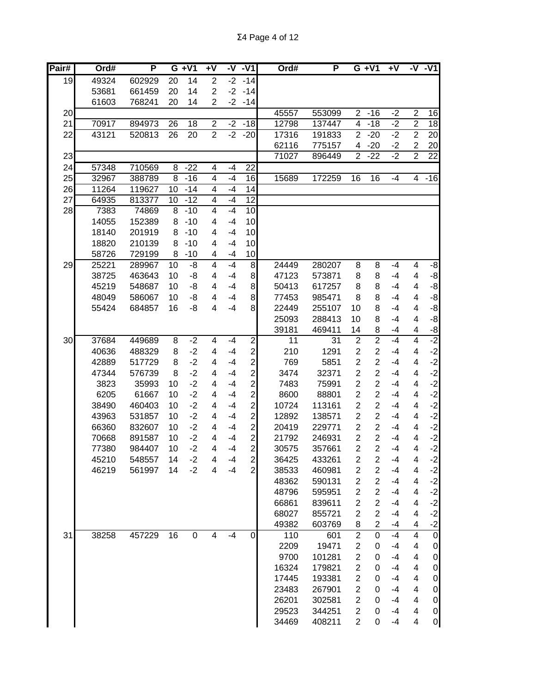| Pair# | Ord#  | P      |                | $G + V1$        | +٧                      |      | $-V - V1$      | Ord#            | P               |                         | $G + V1$         | $+V$ |                         | $-V - V1$           |
|-------|-------|--------|----------------|-----------------|-------------------------|------|----------------|-----------------|-----------------|-------------------------|------------------|------|-------------------------|---------------------|
| 19    | 49324 | 602929 | 20             | 14              | $\overline{2}$          | $-2$ | $-14$          |                 |                 |                         |                  |      |                         |                     |
|       | 53681 | 661459 | 20             | 14              | $\overline{2}$          | $-2$ | $-14$          |                 |                 |                         |                  |      |                         |                     |
|       | 61603 | 768241 | 20             | 14              | 2                       | $-2$ | $-14$          |                 |                 |                         |                  |      |                         |                     |
| 20    |       |        |                |                 |                         |      |                | 45557           | 553099          | $\overline{2}$          | $-16$            | $-2$ | $\overline{2}$          | 16                  |
| 21    | 70917 | 894973 | 26             | 18              | $\overline{c}$          | $-2$ | $-18$          | 12798           | 137447          | $\overline{\mathbf{4}}$ | $-18$            | $-2$ | $\overline{2}$          | 18                  |
| 22    | 43121 | 520813 | 26             | $\overline{20}$ | $\overline{2}$          | $-2$ | $-20$          | 17316           | 191833          | $\overline{2}$          | $-20$            | $-2$ | $\overline{2}$          | 20                  |
|       |       |        |                |                 |                         |      |                | 62116           | 775157          | 4                       | $-20$            | $-2$ | $\overline{c}$          | 20                  |
| 23    |       |        |                |                 |                         |      |                | 71027           | 896449          | $\overline{2}$          | $-22$            | $-2$ | $\overline{2}$          | $\overline{22}$     |
| 24    | 57348 | 710569 | $\overline{8}$ | $-22$           | $\overline{4}$          | $-4$ | 22             |                 |                 |                         |                  |      |                         |                     |
| 25    | 32967 | 388789 | 8              | $-16$           | $\overline{4}$          | $-4$ | 16             | 15689           | 172259          | 16                      | 16               | $-4$ | $\overline{4}$          | $-16$               |
| 26    | 11264 | 119627 | 10             | $-14$           | 4                       | $-4$ | 14             |                 |                 |                         |                  |      |                         |                     |
| 27    | 64935 | 813377 | 10             | $-12$           | 4                       | $-4$ | 12             |                 |                 |                         |                  |      |                         |                     |
| 28    | 7383  | 74869  | 8              | $-10$           | $\overline{\mathbf{4}}$ | $-4$ | 10             |                 |                 |                         |                  |      |                         |                     |
|       | 14055 | 152389 | 8              | $-10$           | 4                       | $-4$ | 10             |                 |                 |                         |                  |      |                         |                     |
|       | 18140 | 201919 | 8              | $-10$           | 4                       | $-4$ | 10             |                 |                 |                         |                  |      |                         |                     |
|       | 18820 | 210139 | 8              | $-10$           | 4                       | $-4$ | 10             |                 |                 |                         |                  |      |                         |                     |
|       | 58726 | 729199 | 8              | $-10$           | 4                       | $-4$ | 10             |                 |                 |                         |                  |      |                         |                     |
| 29    | 25221 | 289967 | 10             | -8              | 4                       | $-4$ | 8              | 24449           | 280207          | 8                       | 8                | $-4$ | 4                       | -8                  |
|       | 38725 | 463643 | 10             | -8              | 4                       | $-4$ | $\bf{8}$       | 47123           | 573871          | 8                       | 8                | $-4$ | 4                       | $-8$                |
|       | 45219 | 548687 | 10             | -8              | 4                       | $-4$ | $\bf{8}$       | 50413           | 617257          | 8                       | 8                | $-4$ | 4                       | $-8$                |
|       | 48049 | 586067 | 10             | -8              | 4                       | $-4$ | 8              | 77453           | 985471          | 8                       | 8                | -4   | $\overline{\mathbf{4}}$ | $-8$                |
|       | 55424 | 684857 | 16             | -8              | 4                       | $-4$ | 8              | 22449           | 255107          | 10                      | 8                | $-4$ | $\overline{\mathbf{4}}$ | $-8$                |
|       |       |        |                |                 |                         |      |                | 25093           | 288413          | 10                      | 8                | $-4$ | $\overline{\mathbf{4}}$ | $-8$                |
|       |       |        |                |                 |                         |      |                | 39181           | 469411          | 14                      | 8                | $-4$ | $\overline{\mathbf{4}}$ | $-8$                |
| 30    | 37684 | 449689 | $\overline{8}$ | $-2$            | 4                       | $-4$ | $\overline{2}$ | $\overline{11}$ | $\overline{31}$ | $\overline{2}$          | $\overline{2}$   | $-4$ | $\overline{4}$          | $-2$                |
|       | 40636 | 488329 | 8              | $-2$            | 4                       | $-4$ | $\mathbf{2}$   | 210             | 1291            | $\overline{c}$          | $\overline{c}$   | $-4$ | 4                       | $-2$                |
|       | 42889 | 517729 | 8              | $-2$            | 4                       | $-4$ | $\mathbf{2}$   | 769             | 5851            | $\overline{c}$          | $\overline{c}$   | $-4$ | $\overline{\mathbf{4}}$ | $-2$                |
|       | 47344 | 576739 | 8              | $-2$            | 4                       | $-4$ | $\mathbf{2}$   | 3474            | 32371           | $\overline{c}$          | $\overline{c}$   | $-4$ | $\overline{\mathbf{4}}$ | $-2$                |
|       | 3823  | 35993  | 10             | $-2$            | 4                       | $-4$ | $\mathbf{2}$   | 7483            | 75991           | $\overline{2}$          | $\overline{2}$   | $-4$ | $\overline{\mathbf{4}}$ | $-2$                |
|       | 6205  | 61667  | 10             | $-2$            | 4                       | $-4$ | $\mathbf{2}$   | 8600            | 88801           | $\overline{2}$          | $\overline{c}$   | $-4$ | $\overline{\mathbf{4}}$ | $-2$                |
|       | 38490 | 460403 | 10             | $-2$            | 4                       | $-4$ | $\overline{a}$ | 10724           | 113161          | $\overline{2}$          | $\overline{c}$   | $-4$ | 4                       | $-2$                |
|       | 43963 | 531857 | 10             | $-2$            | 4                       | $-4$ | $\overline{c}$ | 12892           | 138571          | $\overline{2}$          | $\overline{c}$   | $-4$ | 4                       | $-2$                |
|       | 66360 | 832607 | 10             | $-2$            | 4                       | $-4$ | $\overline{c}$ | 20419           | 229771          | $\overline{2}$          | $\overline{2}$   | -4   | 4                       | $-2$                |
|       | 70668 | 891587 | 10             | $-2$            | 4                       | -4   | $\mathbf{z}$   | 21792           | 246931          | $\overline{2}$          | $\overline{2}$   | $-4$ | 4                       | $-2$                |
|       | 77380 | 984407 | 10             | $-2$            | 4                       | $-4$ | $\overline{2}$ | 30575           | 357661          | $\overline{2}$          | $\overline{2}$   | $-4$ | 4                       | $-2$                |
|       | 45210 | 548557 | 14             | $-2$            | 4                       | -4   | $\mathbf{2}$   | 36425           | 433261          | $\overline{c}$          | $\boldsymbol{2}$ | $-4$ | 4                       | $-2$                |
|       | 46219 | 561997 | 14             | $-2$            | 4                       | $-4$ | $\overline{2}$ | 38533           | 460981          | $\boldsymbol{2}$        | $\overline{c}$   | $-4$ | 4                       | $-2$                |
|       |       |        |                |                 |                         |      |                | 48362           | 590131          | $\overline{2}$          | $\boldsymbol{2}$ | $-4$ | 4                       | $-2$                |
|       |       |        |                |                 |                         |      |                | 48796           | 595951          | $\overline{2}$          | $\overline{c}$   | $-4$ | 4                       | $-2$                |
|       |       |        |                |                 |                         |      |                | 66861           | 839611          | $\overline{2}$          | $\overline{c}$   | $-4$ | 4                       | $-2$                |
|       |       |        |                |                 |                         |      |                | 68027           | 855721          | $\overline{2}$          | $\overline{2}$   | $-4$ | 4                       | $-2$                |
|       |       |        |                |                 |                         |      |                | 49382           | 603769          | 8                       | $\boldsymbol{2}$ | -4   | $\overline{\mathbf{4}}$ | $-2$                |
| 31    | 38258 | 457229 | 16             | $\mathsf 0$     | $\overline{\mathbf{4}}$ | $-4$ | $\overline{0}$ | 110             | 601             | $\overline{2}$          | $\overline{0}$   | $-4$ | $\overline{4}$          | $\overline{0}$      |
|       |       |        |                |                 |                         |      |                | 2209            | 19471           | $\overline{\mathbf{c}}$ | 0                | $-4$ | 4                       | $\mathbf 0$         |
|       |       |        |                |                 |                         |      |                | 9700            | 101281          | $\overline{c}$          | 0                | $-4$ | $\overline{\mathbf{4}}$ | $\mathbf 0$         |
|       |       |        |                |                 |                         |      |                | 16324           | 179821          | $\overline{2}$          | $\mathbf 0$      | $-4$ | $\overline{\mathbf{4}}$ | $\mathbf 0$         |
|       |       |        |                |                 |                         |      |                | 17445           | 193381          | $\overline{2}$          | $\mathbf 0$      | $-4$ | $\overline{\mathbf{4}}$ | $\mathbf 0$         |
|       |       |        |                |                 |                         |      |                | 23483           | 267901          | $\overline{2}$          | 0                | $-4$ | 4                       | $\mathsf{O}\xspace$ |
|       |       |        |                |                 |                         |      |                | 26201           | 302581          | $\overline{2}$          | 0                | $-4$ | 4                       | $\mathbf 0$         |
|       |       |        |                |                 |                         |      |                | 29523           | 344251          | $\overline{2}$          | 0                | $-4$ | 4                       | $\mathsf{O}\xspace$ |
|       |       |        |                |                 |                         |      |                | 34469           | 408211          | $\overline{2}$          | 0                | $-4$ | 4                       | $\overline{0}$      |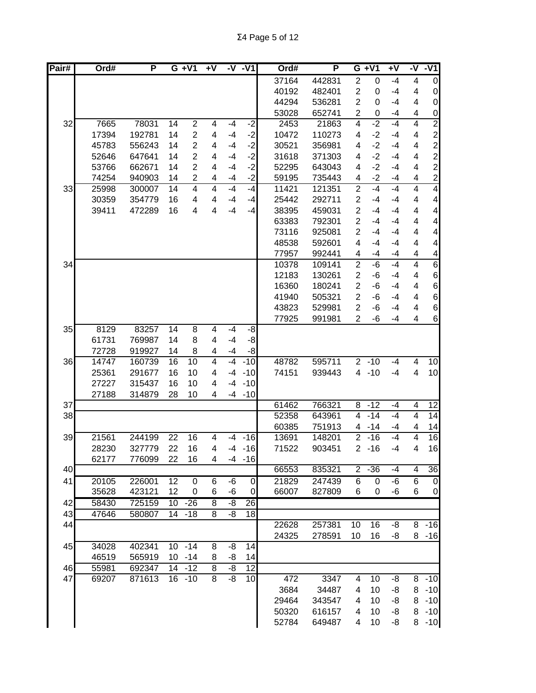| Pair# | Ord#  | P      |                 | $G + V1$       | +۷ |                | -V -V1      |       | Ord# | P      |                | $G + V1$       | $\overline{+V}$ | -V                      | $-V1$                    |
|-------|-------|--------|-----------------|----------------|----|----------------|-------------|-------|------|--------|----------------|----------------|-----------------|-------------------------|--------------------------|
|       |       |        |                 |                |    |                |             | 37164 |      | 442831 | $\overline{2}$ | $\mathbf 0$    | $-4$            | 4                       | $\overline{0}$           |
|       |       |        |                 |                |    |                |             | 40192 |      | 482401 | $\overline{2}$ | 0              | $-4$            | 4                       | $\overline{0}$           |
|       |       |        |                 |                |    |                |             | 44294 |      | 536281 | $\overline{2}$ | 0              | $-4$            | 4                       | $\overline{0}$           |
|       |       |        |                 |                |    |                |             | 53028 |      | 652741 | $\overline{2}$ | $\mathbf 0$    | -4              | 4                       | $\overline{0}$           |
| 32    | 7665  | 78031  | 14              | $\overline{2}$ | 4  | $-4$           | $-2$        |       | 2453 | 21863  | 4              | $-2$           | $-4$            | 4                       | $\overline{2}$           |
|       | 17394 | 192781 | 14              | $\overline{2}$ | 4  | $-4$           | $-2$        | 10472 |      | 110273 | 4              | $-2$           | $-4$            | 4                       | $\mathbf{2}$             |
|       | 45783 | 556243 | 14              | $\overline{2}$ | 4  | $-4$           | $-2$        | 30521 |      | 356981 | 4              | $-2$           | $-4$            | 4                       | $\mathbf{2}$             |
|       | 52646 | 647641 | 14              | $\overline{2}$ | 4  | $-4$           | $-2$        | 31618 |      | 371303 | 4              | $-2$           | $-4$            | 4                       | $\overline{c}$           |
|       | 53766 | 662671 | 14              | $\overline{2}$ | 4  | -4             | $-2$        | 52295 |      | 643043 | 4              | $-2$           | -4              | 4                       | $\frac{2}{2}$            |
|       | 74254 | 940903 | 14              | 2              | 4  | -4             | $-2$        | 59195 |      | 735443 | 4              | $-2$           | -4              | 4                       |                          |
| 33    | 25998 | 300007 | 14              | 4              | 4  | $-4$           | $-4$        | 11421 |      | 121351 | $\overline{2}$ | $-4$           | $-4$            | $\overline{\mathbf{4}}$ | $\overline{4}$           |
|       | 30359 | 354779 | 16              | 4              | 4  | -4             | $-4$        | 25442 |      | 292711 | $\overline{2}$ | -4             | -4              | 4                       | $\overline{\mathbf{4}}$  |
|       | 39411 | 472289 | 16              | 4              | 4  | $-4$           | -4          | 38395 |      | 459031 | $\overline{2}$ | -4             | $-4$            | 4                       | $\overline{\mathbf{4}}$  |
|       |       |        |                 |                |    |                |             | 63383 |      | 792301 | $\overline{2}$ | -4             | $-4$            | 4                       | $\overline{\mathcal{A}}$ |
|       |       |        |                 |                |    |                |             | 73116 |      | 925081 | $\overline{2}$ | -4             | $-4$            | 4                       | 4                        |
|       |       |        |                 |                |    |                |             | 48538 |      | 592601 | 4              | -4             | $-4$            | 4                       | 4                        |
|       |       |        |                 |                |    |                |             | 77957 |      | 992441 | 4              | -4             | $-4$            | 4                       | 4                        |
| 34    |       |        |                 |                |    |                |             | 10378 |      | 109141 | $\overline{2}$ | $-6$           | $-4$            | $\overline{4}$          | 6                        |
|       |       |        |                 |                |    |                |             | 12183 |      | 130261 | $\overline{2}$ | -6             | $-4$            | 4                       | $6 \mid$                 |
|       |       |        |                 |                |    |                |             | 16360 |      | 180241 | $\overline{2}$ | -6             | $-4$            | 4                       | $6 \mid$                 |
|       |       |        |                 |                |    |                |             | 41940 |      | 505321 | $\overline{2}$ | $-6$           | $-4$            | 4                       | $6 \mid$                 |
|       |       |        |                 |                |    |                |             | 43823 |      | 529981 | $\overline{2}$ | -6             | -4              | 4                       | 6                        |
|       |       |        |                 |                |    |                |             | 77925 |      | 991981 | $\overline{2}$ | $-6$           | -4              | 4                       | $6 \mid$                 |
| 35    | 8129  | 83257  | $\overline{14}$ | $\overline{8}$ | 4  | $-4$           | -8          |       |      |        |                |                |                 |                         |                          |
|       | 61731 | 769987 | 14              | 8              | 4  | $-4$           | $-8$        |       |      |        |                |                |                 |                         |                          |
|       | 72728 | 919927 | 14              | 8              | 4  | $-4$           | -8          |       |      |        |                |                |                 |                         |                          |
| 36    | 14747 | 160739 | 16              | 10             | 4  | -4             | $-10$       | 48782 |      | 595711 | $\overline{2}$ | $-10$          | $-4$            | 4                       | 10 <sup>1</sup>          |
|       | 25361 | 291677 | 16              | 10             | 4  | $-4$           | $-10$       | 74151 |      | 939443 | 4              | $-10$          | $-4$            | 4                       | 10 <sub>1</sub>          |
|       | 27227 | 315437 | 16              | 10             | 4  | $-4$           | $-10$       |       |      |        |                |                |                 |                         |                          |
|       | 27188 | 314879 | 28              | 10             | 4  | -4             | $-10$       |       |      |        |                |                |                 |                         |                          |
| 37    |       |        |                 |                |    |                |             | 61462 |      | 766321 | 8              | $-12$          | $-4$            | 4                       | 12                       |
| 38    |       |        |                 |                |    |                |             | 52358 |      | 643961 | $\overline{4}$ | $-14$          | $-4$            | $\overline{4}$          | 14                       |
|       |       |        |                 |                |    |                |             | 60385 |      | 751913 | 4              | $-14$          | -4              | 4                       | 14                       |
| 39    | 21561 | 244199 | 22              | 16             | 4  | $-4$           | $-16$       | 13691 |      | 148201 | $\overline{2}$ | $-16$          | $-4$            | $\overline{4}$          | $\overline{16}$          |
|       | 28230 | 327779 | 22              | 16             | 4  | $-4$           | $-16$       | 71522 |      | 903451 | $\overline{2}$ | $-16$          | -4              | 4                       | 16                       |
|       | 62177 | 776099 | 22              | 16             | 4  | -4             | $-16$       |       |      |        |                |                |                 |                         |                          |
| 40    |       |        |                 |                |    |                |             | 66553 |      | 835321 | 2              | $-36$          | $-4$            | 4                       | 36                       |
| 41    | 20105 | 226001 | 12              | $\overline{0}$ | 6  | $-\sqrt{6}$    | $\mathbf 0$ | 21829 |      | 247439 | $\overline{6}$ | $\overline{0}$ | $-6$            | 6                       | $\overline{0}$           |
|       | 35628 | 423121 | 12              | 0              | 6  | $-6$           | $\mathbf 0$ | 66007 |      | 827809 | 6              | $\pmb{0}$      | $-6$            | 6                       | $\overline{0}$           |
| 42    | 58430 | 725159 | 10              | $-26$          | 8  | -8             | 26          |       |      |        |                |                |                 |                         |                          |
| 43    | 47646 | 580807 |                 | 14 - 18        | 8  | -8             | 18          |       |      |        |                |                |                 |                         |                          |
| 44    |       |        |                 |                |    |                |             | 22628 |      | 257381 | 10             | 16             | -8              | 8                       | $-16$                    |
|       |       |        |                 |                |    |                |             | 24325 |      | 278591 | 10             | 16             | -8              |                         | $8 - 16$                 |
| 45    | 34028 | 402341 |                 | $10 - 14$      | 8  | -8             | 14          |       |      |        |                |                |                 |                         |                          |
|       | 46519 | 565919 |                 | $10 - 14$      | 8  | -8             | 14          |       |      |        |                |                |                 |                         |                          |
| 46    | 55981 | 692347 |                 | $14 - 12$      | 8  | $-\frac{8}{3}$ | 12          |       |      |        |                |                |                 |                         |                          |
| 47    | 69207 | 871613 |                 | $16 - 10$      | 8  | -8             | 10          |       | 472  | 3347   | 4              | 10             | -8              |                         | $8 - 10$                 |
|       |       |        |                 |                |    |                |             |       | 3684 | 34487  | 4              | 10             | -8              |                         | $8 - 10$                 |
|       |       |        |                 |                |    |                |             | 29464 |      | 343547 | 4              | 10             | -8              | 8                       | $-10$                    |
|       |       |        |                 |                |    |                |             | 50320 |      | 616157 | 4              | 10             | -8              | 8                       | $-10$                    |
|       |       |        |                 |                |    |                |             | 52784 |      | 649487 | 4              | 10             | -8              |                         | $8 - 10$                 |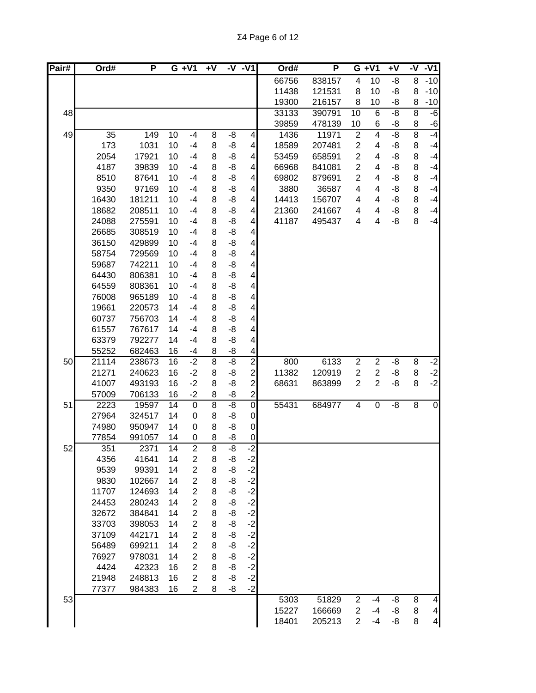| Pair# | Ord#  | Ρ      |                 | $G + VI$       | $+V$           | $-V - V1$             |                          | Ord#  | P      |                | $G + V1$         | Ŧ٨             |                | $-V - V1$                |
|-------|-------|--------|-----------------|----------------|----------------|-----------------------|--------------------------|-------|--------|----------------|------------------|----------------|----------------|--------------------------|
|       |       |        |                 |                |                |                       |                          | 66756 | 838157 | 4              | 10               | -8             | 8              | $-10$                    |
|       |       |        |                 |                |                |                       |                          | 11438 | 121531 | 8              | 10               | -8             | 8              | $-10$                    |
|       |       |        |                 |                |                |                       |                          | 19300 | 216157 | 8              | 10               | -8             | 8              | $-10$                    |
| 48    |       |        |                 |                |                |                       |                          | 33133 | 390791 | 10             | $6\phantom{1}6$  | $-\frac{8}{5}$ | 8              | $-6$                     |
|       |       |        |                 |                |                |                       |                          | 39859 | 478139 | 10             | 6                | -8             | 8              | $-6$                     |
| 49    | 35    | 149    | 10              | $-4$           | 8              | -8                    | $\overline{\mathbf{4}}$  | 1436  | 11971  | $\overline{2}$ | $\overline{4}$   | $-8$           | $\overline{8}$ | $-4$                     |
|       | 173   | 1031   | 10              | $-4$           | 8              | -8                    | $\overline{\mathcal{A}}$ | 18589 | 207481 | $\overline{c}$ | 4                | -8             | 8              | $-4$                     |
|       | 2054  | 17921  | 10              | $-4$           | 8              | -8                    | 4                        | 53459 | 658591 | $\overline{2}$ | 4                | -8             | 8              | $-4$                     |
|       | 4187  | 39839  | 10              | $-4$           | 8              | -8                    | $\overline{\mathbf{4}}$  | 66968 | 841081 | $\overline{2}$ | 4                | -8             | 8              | $-4$                     |
|       | 8510  | 87641  | 10              | $-4$           | 8              | -8                    | $\overline{\mathbf{4}}$  | 69802 | 879691 | $\overline{2}$ | 4                | -8             | 8              | $-4$                     |
|       | 9350  | 97169  | 10              | $-4$           | 8              | -8                    | 4                        | 3880  | 36587  | 4              | 4                | -8             | 8              | $-4$                     |
|       | 16430 | 181211 | 10              | $-4$           | 8              | -8                    | 4                        | 14413 | 156707 | 4              | 4                | -8             | 8              | $-4$                     |
|       | 18682 | 208511 | 10              | $-4$           | 8              | -8                    | 4                        | 21360 | 241667 | 4              | 4                | -8             | 8              | $-4$                     |
|       | 24088 | 275591 | 10              | $-4$           | 8              | -8                    | 4                        | 41187 | 495437 | 4              | 4                | -8             | 8              | $-4$                     |
|       | 26685 | 308519 | 10              | $-4$           | 8              | -8                    | $\overline{\mathbf{4}}$  |       |        |                |                  |                |                |                          |
|       | 36150 | 429899 | 10              | $-4$           | 8              | -8                    | $\overline{\mathbf{4}}$  |       |        |                |                  |                |                |                          |
|       | 58754 | 729569 | 10              | $-4$           | 8              | -8                    | $\overline{4}$           |       |        |                |                  |                |                |                          |
|       | 59687 | 742211 | 10              | $-4$           | 8              | -8                    | $\vert 4 \vert$          |       |        |                |                  |                |                |                          |
|       | 64430 | 806381 | 10              | $-4$           | 8              | -8                    | $\overline{4}$           |       |        |                |                  |                |                |                          |
|       | 64559 | 808361 | 10              | $-4$           | 8              | -8                    | $\overline{\mathbf{4}}$  |       |        |                |                  |                |                |                          |
|       | 76008 | 965189 | 10              | $-4$           | 8              | $-8$                  | $\overline{\mathbf{4}}$  |       |        |                |                  |                |                |                          |
|       | 19661 | 220573 | 14              | $-4$           | 8              | -8                    | $\overline{\mathbf{4}}$  |       |        |                |                  |                |                |                          |
|       | 60737 | 756703 | 14              | $-4$           | 8              | $-8$                  | $\overline{\mathbf{4}}$  |       |        |                |                  |                |                |                          |
|       | 61557 | 767617 | 14              | $-4$           | 8              | $-8$                  | $\overline{\mathbf{4}}$  |       |        |                |                  |                |                |                          |
|       | 63379 | 792277 | 14              | $-4$           | 8              | -8                    | $\overline{\mathbf{4}}$  |       |        |                |                  |                |                |                          |
|       | 55252 | 682463 | 16              | $-4$           | 8              | $-8$                  | $\overline{4}$           |       |        |                |                  |                |                |                          |
| 50    | 21114 | 238673 | $\overline{16}$ | $-2$           | $\overline{8}$ | $-\frac{1}{\sqrt{2}}$ | $\overline{2}$           | 800   | 6133   | $\mathbf{2}$   | $\boldsymbol{2}$ | -8             | 8              | $-2$                     |
|       | 21271 | 240623 | 16              | $-2$           | 8              | -8                    | $\mathbf{z}$             | 11382 | 120919 | $\overline{2}$ | $\overline{c}$   | -8             | 8              | $-2$                     |
|       | 41007 | 493193 | 16              | $-2$           | 8              | -8                    | $\mathbf{2}$             | 68631 | 863899 | $\overline{2}$ | $\overline{2}$   | -8             | 8              | $-2$                     |
|       | 57009 | 706133 | 16              | $-2$           | 8              | -8                    | $\overline{2}$           |       |        |                |                  |                |                |                          |
| 51    | 2223  | 19597  | 14              | $\mathbf 0$    | $\overline{8}$ | $-\frac{8}{5}$        | $\overline{0}$           | 55431 | 684977 | 4              | $\mathbf 0$      | -8             | 8              | $\overline{0}$           |
|       | 27964 | 324517 | 14              | 0              | 8              | -8                    | $\overline{0}$           |       |        |                |                  |                |                |                          |
|       | 74980 | 950947 | 14              | 0              | 8              | -8                    | $\overline{0}$           |       |        |                |                  |                |                |                          |
|       | 77854 | 991057 | 14              | 0              | 8              | -8                    | $\overline{0}$           |       |        |                |                  |                |                |                          |
| 52    | 351   | 2371   | 14              | $\overline{2}$ | $\overline{8}$ | -8                    | -2                       |       |        |                |                  |                |                |                          |
|       | 4356  | 41641  | 14              | $\mathbf 2$    | 8              | -8                    | $-2$                     |       |        |                |                  |                |                |                          |
|       | 9539  | 99391  | 14              | $\overline{2}$ | 8              | -8                    | $-2$                     |       |        |                |                  |                |                |                          |
|       | 9830  | 102667 | 14              | $\overline{2}$ | 8              | -8                    | $-2$                     |       |        |                |                  |                |                |                          |
|       | 11707 | 124693 | 14              | $\overline{2}$ | 8              | -8                    | $-2$                     |       |        |                |                  |                |                |                          |
|       | 24453 | 280243 | 14              | $\overline{c}$ | 8              | -8                    | $-2$                     |       |        |                |                  |                |                |                          |
|       | 32672 | 384841 | 14              | $\overline{c}$ | 8              | -8                    | $-2$                     |       |        |                |                  |                |                |                          |
|       | 33703 | 398053 | 14              | $\overline{c}$ | 8              | $-8$                  | $-2$                     |       |        |                |                  |                |                |                          |
|       | 37109 | 442171 | 14              | $\overline{c}$ | 8              | $-8$                  | $-2$                     |       |        |                |                  |                |                |                          |
|       | 56489 | 699211 | 14              | $\overline{2}$ | 8              | $-8$                  | $-2$                     |       |        |                |                  |                |                |                          |
|       | 76927 | 978031 | 14              | $\overline{c}$ | 8              | -8                    | $-2$                     |       |        |                |                  |                |                |                          |
|       | 4424  | 42323  | 16              | $\overline{2}$ | 8              | -8                    | $-2$                     |       |        |                |                  |                |                |                          |
|       | 21948 | 248813 | 16              | $\overline{2}$ | 8              | -8                    | $-2$                     |       |        |                |                  |                |                |                          |
|       | 77377 | 984383 | 16              | $\overline{2}$ | 8              | -8                    | $-2$                     |       |        |                |                  |                |                |                          |
| 53    |       |        |                 |                |                |                       |                          | 5303  | 51829  | $\overline{2}$ | -4               | -8             | 8              | $\overline{\mathcal{A}}$ |
|       |       |        |                 |                |                |                       |                          | 15227 | 166669 | $\overline{2}$ | $-4$             | -8             | 8              | $\vert 4 \vert$          |
|       |       |        |                 |                |                |                       |                          | 18401 | 205213 | $\overline{2}$ | $-4$             | -8             | 8              | $\overline{4}$           |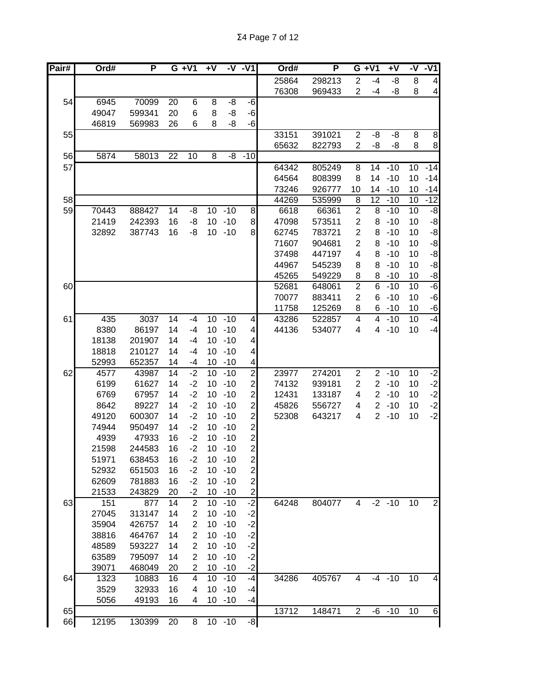| Pair# | Ord#  | P      |                 | $G + V1$                | +٧              |           | $-V - V1$               | Ord#  | P      |                | $G + V1$        | $\overline{+V}$ | -V | $-V1$                   |
|-------|-------|--------|-----------------|-------------------------|-----------------|-----------|-------------------------|-------|--------|----------------|-----------------|-----------------|----|-------------------------|
|       |       |        |                 |                         |                 |           |                         | 25864 | 298213 | $\overline{2}$ | $-4$            | -8              | 8  | $\overline{4}$          |
|       |       |        |                 |                         |                 |           |                         | 76308 | 969433 | 2              | $-4$            | -8              | 8  | $\overline{\mathbf{4}}$ |
| 54    | 6945  | 70099  | 20              | 6                       | 8               | -8        | -6                      |       |        |                |                 |                 |    |                         |
|       | 49047 | 599341 | 20              | 6                       | 8               | -8        | $-6$                    |       |        |                |                 |                 |    |                         |
|       | 46819 | 569983 | 26              | 6                       | 8               | -8        | $-6$                    |       |        |                |                 |                 |    |                         |
| 55    |       |        |                 |                         |                 |           |                         | 33151 | 391021 | $\overline{2}$ | -8              | -8              | 8  | $\bf 8$                 |
|       |       |        |                 |                         |                 |           |                         | 65632 | 822793 | $\overline{2}$ | -8              | -8              | 8  | $\,$ 8 $\,$             |
| 56    | 5874  | 58013  | $\overline{22}$ | 10                      | $\overline{8}$  | -8        | $-10$                   |       |        |                |                 |                 |    |                         |
| 57    |       |        |                 |                         |                 |           |                         | 64342 | 805249 | 8              | $\overline{14}$ | $-10$           | 10 | $-14$                   |
|       |       |        |                 |                         |                 |           |                         | 64564 | 808399 | 8              | 14              | $-10$           | 10 | $-14$                   |
|       |       |        |                 |                         |                 |           |                         | 73246 | 926777 | 10             | 14              | $-10$           | 10 | $-14$                   |
| 58    |       |        |                 |                         |                 |           |                         | 44269 | 535999 | 8              | 12              | $-10$           | 10 | $-12$                   |
| 59    | 70443 | 888427 | 14              | -8                      | 10 <sup>°</sup> | $-10$     | 8                       | 6618  | 66361  | $\overline{2}$ | 8               | $-10$           | 10 | -8                      |
|       | 21419 | 242393 | 16              | -8                      | 10 <sup>°</sup> | $-10$     | 8                       | 47098 | 573511 | $\overline{2}$ | 8               | $-10$           | 10 | -8                      |
|       | 32892 | 387743 | 16              | -8                      | 10 <sup>1</sup> | $-10$     | 8                       | 62745 | 783721 | $\overline{2}$ | 8               | $-10$           | 10 | -8                      |
|       |       |        |                 |                         |                 |           |                         | 71607 | 904681 | $\overline{c}$ | 8               | $-10$           | 10 | $-8$                    |
|       |       |        |                 |                         |                 |           |                         | 37498 | 447197 | 4              | 8               | $-10$           | 10 | -8                      |
|       |       |        |                 |                         |                 |           |                         | 44967 | 545239 | 8              | 8               | $-10$           | 10 | -8                      |
|       |       |        |                 |                         |                 |           |                         | 45265 | 549229 | 8              | 8               | $-10$           | 10 | $\textnormal{-}8$       |
| 60    |       |        |                 |                         |                 |           |                         | 52681 | 648061 | $\overline{2}$ | 6               | $-10$           | 10 | $-6$                    |
|       |       |        |                 |                         |                 |           |                         | 70077 | 883411 | $\overline{c}$ | 6               | $-10$           | 10 | $-6$                    |
|       |       |        |                 |                         |                 |           |                         | 11758 | 125269 | 8              | 6               | $-10$           | 10 | $-6$                    |
| 61    | 435   | 3037   | 14              | $-4$                    | 10              | $-10$     | 4                       | 43286 | 522857 | 4              | 4               | $-10$           | 10 | $-4$                    |
|       | 8380  | 86197  | 14              | $-4$                    | 10 <sup>°</sup> | $-10$     | 4                       | 44136 | 534077 | 4              | 4               | $-10$           | 10 | $-4$                    |
|       | 18138 | 201907 | 14              | $-4$                    | 10              | $-10$     | 4                       |       |        |                |                 |                 |    |                         |
|       | 18818 | 210127 | 14              | $-4$                    | 10              | $-10$     | $\overline{4}$          |       |        |                |                 |                 |    |                         |
|       | 52993 | 652357 | 14              | -4                      | 10              | $-10$     | $\vert 4 \vert$         |       |        |                |                 |                 |    |                         |
| 62    | 4577  | 43987  | 14              | $-2$                    | 10              | $-10$     | $\overline{2}$          | 23977 | 274201 | $\overline{2}$ |                 | $2 - 10$        | 10 | $-2$                    |
|       | 6199  | 61627  | 14              | $-2$                    | 10              | $-10$     | 2                       | 74132 | 939181 | 2              | $\overline{2}$  | $-10$           | 10 | $-2$                    |
|       | 6769  | 67957  | 14              | $-2$                    | 10              | $-10$     | $\overline{\mathbf{c}}$ | 12431 | 133187 | 4              | $\overline{2}$  | $-10$           | 10 | $-2$                    |
|       | 8642  | 89227  | 14              | $-2$                    | 10              | $-10$     | $\overline{c}$          | 45826 | 556727 | 4              | $\overline{2}$  | $-10$           | 10 | $-2$<br>$-2$            |
|       | 49120 | 600307 | 14              | $-2$                    | 10              | $-10$     | $\overline{c}$          | 52308 | 643217 | 4              | $\overline{2}$  | $-10$           | 10 |                         |
|       | 74944 | 950497 | 14              | $-2$                    | 10              | $-10$     | $\overline{c}$          |       |        |                |                 |                 |    |                         |
|       | 4939  | 47933  | 16              | $-2$                    | 10              | $-10$     | $\mathbf{z}$            |       |        |                |                 |                 |    |                         |
|       | 21598 | 244583 | 16              | $-2$                    | 10              | $-10$     | $\overline{2}$          |       |        |                |                 |                 |    |                         |
|       | 51971 | 638453 | 16              | $-2$                    |                 | $10 - 10$ | $\mathbf{2}$            |       |        |                |                 |                 |    |                         |
|       | 52932 | 651503 | 16              | $-2$                    | 10 <sup>1</sup> | $-10$     | $\mathbf{z}$            |       |        |                |                 |                 |    |                         |
|       | 62609 | 781883 | 16              | $-2$                    | 10 <sup>1</sup> | $-10$     | $\mathbf{2}$            |       |        |                |                 |                 |    |                         |
|       | 21533 | 243829 | 20              | $-2$                    | 10 <sup>°</sup> | $-10$     | $\mathbf{2}$            |       |        |                |                 |                 |    |                         |
| 63    | 151   | 877    | 14              | $\sqrt{2}$              | 10              | $-10$     | $-2$                    | 64248 | 804077 | 4              |                 | $-2 - 10$       | 10 | $\mathbf 2$             |
|       | 27045 | 313147 | 14              | $\overline{\mathbf{c}}$ | 10              | $-10$     | $-2$                    |       |        |                |                 |                 |    |                         |
|       | 35904 | 426757 | 14              | $\overline{2}$          | 10              | $-10$     | $-2$                    |       |        |                |                 |                 |    |                         |
|       | 38816 | 464767 | 14              | $\overline{2}$          | 10 <sup>1</sup> | $-10$     | $-2$                    |       |        |                |                 |                 |    |                         |
|       | 48589 | 593227 | 14              | 2                       | 10              | $-10$     | $-2$                    |       |        |                |                 |                 |    |                         |
|       | 63589 | 795097 | 14              | 2                       | 10              | $-10$     | $-2$                    |       |        |                |                 |                 |    |                         |
|       | 39071 | 468049 | 20              | 2                       | 10 <sup>°</sup> | $-10$     | $-2$                    |       |        |                |                 |                 |    |                         |
| 64    | 1323  | 10883  | 16              | 4                       | 10              | $-10$     | -4                      | 34286 | 405767 | 4              |                 | $-4 - 10$       | 10 | $\overline{\mathbf{4}}$ |
|       | 3529  | 32933  | 16              | 4                       | 10              | $-10$     | -4                      |       |        |                |                 |                 |    |                         |
|       | 5056  | 49193  | 16              | 4                       | 10 <sup>1</sup> | $-10$     | $-4$                    |       |        |                |                 |                 |    |                         |
| 65    |       |        |                 |                         |                 |           |                         | 13712 | 148471 | $\overline{2}$ |                 | $-6 - 10$       | 10 | $\,6$                   |
| 66    | 12195 | 130399 | 20              | 8                       |                 | $10 - 10$ | $-8$                    |       |        |                |                 |                 |    |                         |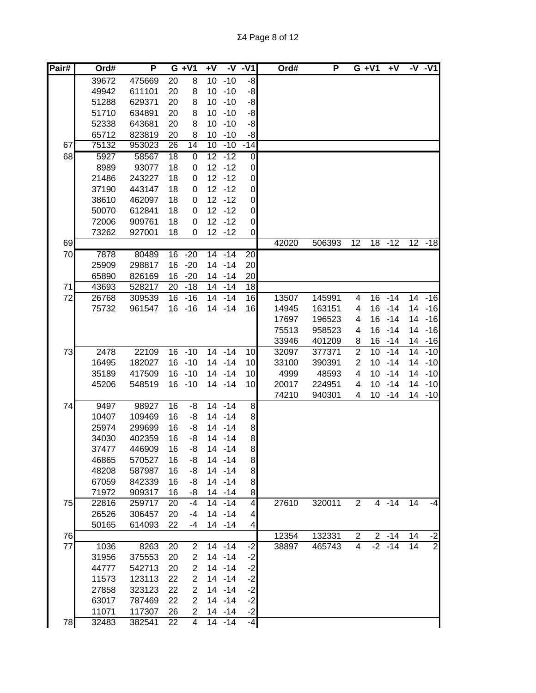| Pair# | Ord#  | P      |                 | $G + V1$       | +V              |           | $-V - V1$               | Ord#           | P                |                     | $G + V1$        | $+V$           |    | $-V - V1$        |
|-------|-------|--------|-----------------|----------------|-----------------|-----------|-------------------------|----------------|------------------|---------------------|-----------------|----------------|----|------------------|
|       | 39672 | 475669 | 20              | 8              | 10 <sup>°</sup> | $-10$     | $-8$                    |                |                  |                     |                 |                |    |                  |
|       | 49942 | 611101 | 20              | 8              | 10              | $-10$     | -8                      |                |                  |                     |                 |                |    |                  |
|       | 51288 | 629371 | 20              | 8              | 10              | $-10$     | -8                      |                |                  |                     |                 |                |    |                  |
|       | 51710 | 634891 | 20              | 8              | 10              | $-10$     | -8                      |                |                  |                     |                 |                |    |                  |
|       | 52338 | 643681 | 20              | 8              | 10              | $-10$     | -8                      |                |                  |                     |                 |                |    |                  |
|       | 65712 | 823819 | 20              | 8              | 10              | $-10$     | -8                      |                |                  |                     |                 |                |    |                  |
| 67    | 75132 | 953023 | 26              | 14             | $\overline{10}$ | $-10$     | $-14$                   |                |                  |                     |                 |                |    |                  |
| 68    | 5927  | 58567  | $\overline{18}$ | $\pmb{0}$      | $\overline{12}$ | $-12$     | $\mathbf 0$             |                |                  |                     |                 |                |    |                  |
|       | 8989  | 93077  | 18              | 0              | 12              | $-12$     | $\overline{0}$          |                |                  |                     |                 |                |    |                  |
|       | 21486 | 243227 | 18              | 0              | 12 <sub>2</sub> | $-12$     | $\overline{0}$          |                |                  |                     |                 |                |    |                  |
|       | 37190 | 443147 | 18              | 0              | 12              | $-12$     | $\overline{0}$          |                |                  |                     |                 |                |    |                  |
|       | 38610 | 462097 | 18              | 0              | 12              | $-12$     | $\mathbf 0$             |                |                  |                     |                 |                |    |                  |
|       | 50070 | 612841 | 18              | 0              | 12              | $-12$     | $\mathbf 0$             |                |                  |                     |                 |                |    |                  |
|       | 72006 | 909761 | 18              | 0              | 12              | $-12$     | $\mathbf 0$             |                |                  |                     |                 |                |    |                  |
|       | 73262 | 927001 | 18              | 0              |                 | $12 - 12$ | $\pmb{0}$               |                |                  |                     |                 |                |    |                  |
| 69    |       |        |                 |                |                 |           |                         | 42020          | 506393           | $\overline{12}$     | $\overline{18}$ | $-12$          |    | $12 - 18$        |
| 70    | 7878  | 80489  | $\overline{16}$ | $-20$          | $\overline{14}$ | $-14$     | $\overline{20}$         |                |                  |                     |                 |                |    |                  |
|       | 25909 | 298817 | 16              | $-20$          | 14              | $-14$     | 20                      |                |                  |                     |                 |                |    |                  |
|       | 65890 | 826169 | 16              | $-20$          |                 | 14 - 14   | 20                      |                |                  |                     |                 |                |    |                  |
| 71    | 43693 | 528217 | 20              | $-18$          | 14              | $-14$     | 18                      |                |                  |                     |                 |                |    |                  |
| 72    | 26768 | 309539 | 16              | $-16$          | 14              | $-14$     | 16                      | 13507          | 145991           | 4                   | 16              | $-14$          | 14 | $-16$            |
|       | 75732 | 961547 | 16              | $-16$          | 14              | $-14$     | 16                      | 14945          | 163151           | 4                   | 16              | $-14$          | 14 | $-16$            |
|       |       |        |                 |                |                 |           |                         | 17697          | 196523           | 4                   | 16              | $-14$          |    | 14 - 16          |
|       |       |        |                 |                |                 |           |                         | 75513          | 958523           | 4                   | 16              | $-14$          | 14 | $-16$            |
|       | 2478  | 22109  |                 | $16 - 10$      | 14              | $-14$     |                         | 33946          | 401209           | 8<br>$\overline{2}$ | 16<br>10        | $-14$<br>$-14$ | 14 | 14 - 16<br>$-10$ |
| 73    | 16495 | 182027 | 16              | $-10$          | 14              | $-14$     | 10<br>10                | 32097<br>33100 | 377371<br>390391 | 2                   | 10              | $-14$          | 14 | $-10$            |
|       | 35189 | 417509 | 16              | $-10$          | 14              | $-14$     | 10                      | 4999           | 48593            | 4                   | 10              | $-14$          | 14 | $-10$            |
|       | 45206 | 548519 |                 | $16 - 10$      | 14              | $-14$     | 10                      | 20017          | 224951           | 4                   | 10              | $-14$          | 14 | $-10$            |
|       |       |        |                 |                |                 |           |                         | 74210          | 940301           | 4                   | 10              | $-14$          |    | 14 -10           |
| 74    | 9497  | 98927  | 16              | -8             | 14              | $-14$     | 8                       |                |                  |                     |                 |                |    |                  |
|       | 10407 | 109469 | 16              | -8             |                 | 14 - 14   | 8                       |                |                  |                     |                 |                |    |                  |
|       | 25974 | 299699 | 16              | -8             |                 | 14 - 14   | 8                       |                |                  |                     |                 |                |    |                  |
|       | 34030 | 402359 | 16              | -8             |                 | $14 - 14$ | 8                       |                |                  |                     |                 |                |    |                  |
|       | 37477 | 446909 | 16              | -8             |                 | 14 - 14   | 8                       |                |                  |                     |                 |                |    |                  |
|       | 46865 | 570527 | 16              | -8             |                 | $14 - 14$ | 8                       |                |                  |                     |                 |                |    |                  |
|       | 48208 | 587987 | 16              | -8             |                 | $14 - 14$ | 8                       |                |                  |                     |                 |                |    |                  |
|       | 67059 | 842339 | 16              | -8             |                 | $14 - 14$ | 8                       |                |                  |                     |                 |                |    |                  |
|       | 71972 | 909317 | 16              | -8             |                 | $14 - 14$ | 8                       |                |                  |                     |                 |                |    |                  |
| 75    | 22816 | 259717 | 20              | $-4$           |                 | $14 - 14$ | $\overline{\mathbf{4}}$ | 27610          | 320011           | 2                   |                 | $4 - 14$       | 14 | $-4$             |
|       | 26526 | 306457 | 20              | $-4$           |                 | $14 - 14$ | 4                       |                |                  |                     |                 |                |    |                  |
|       | 50165 | 614093 | 22              | -4             |                 | $14 - 14$ | 4                       |                |                  |                     |                 |                |    |                  |
| 76    |       |        |                 |                |                 |           |                         | 12354          | 132331           | $\overline{c}$      |                 | $2 - 14$       | 14 | $\frac{-2}{2}$   |
| 77    | 1036  | 8263   | 20              | 2              |                 | $14 - 14$ | $-2$                    | 38897          | 465743           | 4                   |                 | $-2$ -14       | 14 |                  |
|       | 31956 | 375553 | 20              | $\overline{2}$ |                 | $14 - 14$ | $-2$                    |                |                  |                     |                 |                |    |                  |
|       | 44777 | 542713 | 20              | $\overline{2}$ | 14              | $-14$     | $-2$                    |                |                  |                     |                 |                |    |                  |
|       | 11573 | 123113 | 22              | 2              | 14              | $-14$     | $-2$                    |                |                  |                     |                 |                |    |                  |
|       | 27858 | 323123 | 22              | 2              |                 | $14 - 14$ | $-2$                    |                |                  |                     |                 |                |    |                  |
|       | 63017 | 787469 | 22              | 2              | 14              | $-14$     | $-2$                    |                |                  |                     |                 |                |    |                  |
|       | 11071 | 117307 | 26              | 2              |                 | $14 - 14$ | $-2$                    |                |                  |                     |                 |                |    |                  |
| 78    | 32483 | 382541 | 22              | 4              |                 | $14 - 14$ | $-4$                    |                |                  |                     |                 |                |    |                  |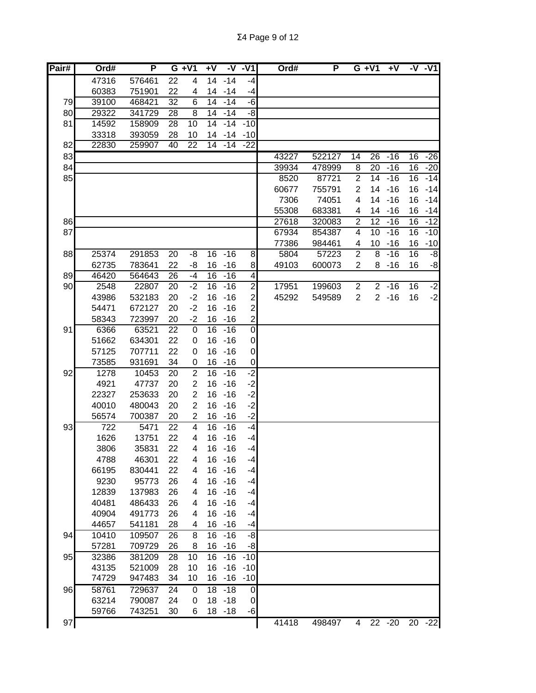| Pair# | Ord#  | P      |    | $G + V1$        | +V |           | $-V - V1$               | Ord#  | P      |                  | $G + V1$        | $+V$     |    | $-V - V1$ |
|-------|-------|--------|----|-----------------|----|-----------|-------------------------|-------|--------|------------------|-----------------|----------|----|-----------|
|       | 47316 | 576461 | 22 | 4               | 14 | $-14$     | -4                      |       |        |                  |                 |          |    |           |
|       | 60383 | 751901 | 22 | 4               | 14 | $-14$     | $-4$                    |       |        |                  |                 |          |    |           |
| 79    | 39100 | 468421 | 32 | 6               | 14 | $-14$     | -6                      |       |        |                  |                 |          |    |           |
| 80    | 29322 | 341729 | 28 | 8               | 14 | $-14$     | -8                      |       |        |                  |                 |          |    |           |
| 81    | 14592 | 158909 | 28 | 10              | 14 | $-14$     | $-10$                   |       |        |                  |                 |          |    |           |
|       | 33318 | 393059 | 28 | 10              | 14 | -14       | $-10$                   |       |        |                  |                 |          |    |           |
| 82    | 22830 | 259907 | 40 | $\overline{22}$ | 14 | $-14$     | $-22$                   |       |        |                  |                 |          |    |           |
| 83    |       |        |    |                 |    |           |                         | 43227 | 522127 | 14               | $\overline{26}$ | $-16$    | 16 | $-26$     |
| 84    |       |        |    |                 |    |           |                         | 39934 | 478999 | 8                | 20              | $-16$    | 16 | $-20$     |
| 85    |       |        |    |                 |    |           |                         | 8520  | 87721  | $\overline{2}$   | 14              | $-16$    | 16 | $-14$     |
|       |       |        |    |                 |    |           |                         | 60677 | 755791 | $\overline{2}$   | 14              | $-16$    | 16 | $-14$     |
|       |       |        |    |                 |    |           |                         | 7306  | 74051  | 4                | 14              | $-16$    | 16 | $-14$     |
|       |       |        |    |                 |    |           |                         | 55308 | 683381 | 4                |                 | 14 - 16  | 16 | $-14$     |
| 86    |       |        |    |                 |    |           |                         | 27618 | 320083 | $\boldsymbol{2}$ | 12              | $-16$    | 16 | $-12$     |
| 87    |       |        |    |                 |    |           |                         | 67934 | 854387 | 4                | 10              | $-16$    | 16 | $-10$     |
|       |       |        |    |                 |    |           |                         | 77386 | 984461 | 4                | 10              | $-16$    | 16 | $-10$     |
| 88    | 25374 | 291853 | 20 | -8              | 16 | $-16$     | 8                       | 5804  | 57223  | $\overline{2}$   | 8               | $-16$    | 16 | $-8$      |
|       | 62735 | 783641 | 22 | -8              | 16 | $-16$     | 8                       | 49103 | 600073 | $\overline{2}$   | 8               | $-16$    | 16 | -8        |
| 89    | 46420 | 564643 | 26 | $-4$            | 16 | $-16$     | $\overline{\mathbf{4}}$ |       |        |                  |                 |          |    |           |
| 90    | 2548  | 22807  | 20 | $-2$            | 16 | $-16$     | $\overline{2}$          | 17951 | 199603 | $\overline{2}$   |                 | $2 - 16$ | 16 | $-2$      |
|       | 43986 | 532183 | 20 | $-2$            | 16 | $-16$     | $\overline{\mathbf{c}}$ | 45292 | 549589 | $\overline{2}$   |                 | $2 - 16$ | 16 | $-2$      |
|       | 54471 | 672127 | 20 | $-2$            | 16 | $-16$     | $\overline{c}$          |       |        |                  |                 |          |    |           |
|       | 58343 | 723997 | 20 | $-2$            | 16 | $-16$     | $\overline{c}$          |       |        |                  |                 |          |    |           |
| 91    | 6366  | 63521  | 22 | $\mathbf 0$     | 16 | $-16$     | $\overline{0}$          |       |        |                  |                 |          |    |           |
|       | 51662 | 634301 | 22 | 0               | 16 | $-16$     | $\overline{0}$          |       |        |                  |                 |          |    |           |
|       | 57125 | 707711 | 22 | 0               | 16 | $-16$     | $\overline{0}$          |       |        |                  |                 |          |    |           |
|       | 73585 | 931691 | 34 | 0               | 16 | $-16$     | $\boldsymbol{0}$        |       |        |                  |                 |          |    |           |
| 92    | 1278  | 10453  | 20 | $\overline{2}$  | 16 | $-16$     | ر.<br>د                 |       |        |                  |                 |          |    |           |
|       | 4921  | 47737  | 20 | $\overline{2}$  | 16 | $-16$     | $-2$                    |       |        |                  |                 |          |    |           |
|       | 22327 | 253633 | 20 | $\overline{2}$  | 16 | $-16$     | $-2$                    |       |        |                  |                 |          |    |           |
|       | 40010 | 480043 | 20 | $\overline{2}$  | 16 | $-16$     | $-2$                    |       |        |                  |                 |          |    |           |
|       | 56574 | 700387 | 20 | 2               | 16 | $-16$     | $-2$                    |       |        |                  |                 |          |    |           |
| 93    | 722   | 5471   | 22 | 4               | 16 | $-16$     | -4                      |       |        |                  |                 |          |    |           |
|       | 1626  | 13751  | 22 | 4               | 16 | $-16$     | -4                      |       |        |                  |                 |          |    |           |
|       | 3806  | 35831  | 22 | 4               | 16 | $-16$     | $-4$                    |       |        |                  |                 |          |    |           |
|       | 4788  | 46301  | 22 | 4               |    | 16 - 16   | -4                      |       |        |                  |                 |          |    |           |
|       | 66195 | 830441 | 22 | 4               | 16 | $-16$     | $-4$                    |       |        |                  |                 |          |    |           |
|       | 9230  | 95773  | 26 | 4               | 16 | $-16$     | $-4$                    |       |        |                  |                 |          |    |           |
|       | 12839 | 137983 | 26 | 4               | 16 | $-16$     | $-4$                    |       |        |                  |                 |          |    |           |
|       | 40481 | 486433 | 26 | 4               | 16 | $-16$     | $-4$                    |       |        |                  |                 |          |    |           |
|       | 40904 | 491773 | 26 | 4               | 16 | $-16$     | -4                      |       |        |                  |                 |          |    |           |
|       | 44657 | 541181 | 28 | 4               | 16 | $-16$     | $-4$                    |       |        |                  |                 |          |    |           |
| 94    | 10410 | 109507 | 26 | 8               | 16 | $-16$     | -8                      |       |        |                  |                 |          |    |           |
|       | 57281 | 709729 | 26 | 8               | 16 | $-16$     | -8                      |       |        |                  |                 |          |    |           |
| 95    | 32386 | 381209 | 28 | 10              | 16 | $-16$     | $-10$                   |       |        |                  |                 |          |    |           |
|       | 43135 | 521009 | 28 | 10              | 16 | $-16$     | $-10$                   |       |        |                  |                 |          |    |           |
|       | 74729 | 947483 | 34 | 10              |    | $16 - 16$ | $-10$                   |       |        |                  |                 |          |    |           |
| 96    | 58761 | 729637 | 24 | 0               |    | $18 - 18$ | $\mathbf 0$             |       |        |                  |                 |          |    |           |
|       | 63214 | 790087 | 24 | 0               |    | $18 - 18$ | $\overline{0}$          |       |        |                  |                 |          |    |           |
|       | 59766 | 743251 | 30 | 6               |    | $18 - 18$ | $-6$                    |       |        |                  |                 |          |    |           |
| 97    |       |        |    |                 |    |           |                         | 41418 | 498497 | 4                | $\overline{22}$ | $-20$    |    | $20 - 22$ |
|       |       |        |    |                 |    |           |                         |       |        |                  |                 |          |    |           |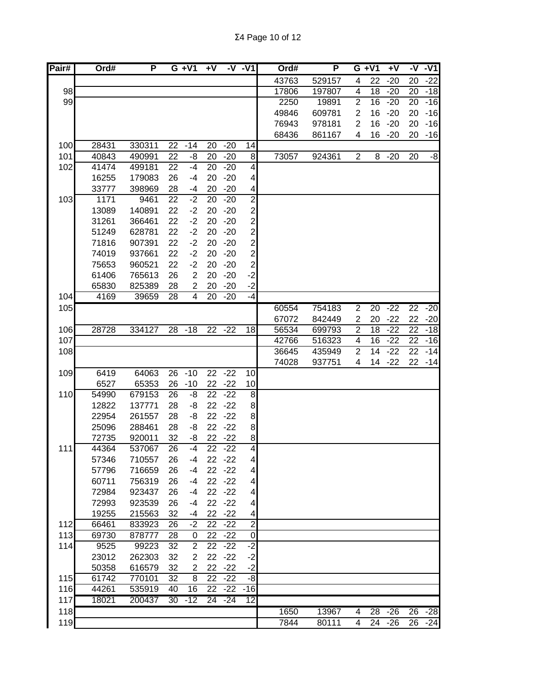| Pair# | Ord#  | P      | $G + V1$        |                         | +V              |           | -V -V1           | Ord#  | P      |                | $G + V1$        | $+V$   |                 | $-\nabla -v$ 1 |
|-------|-------|--------|-----------------|-------------------------|-----------------|-----------|------------------|-------|--------|----------------|-----------------|--------|-----------------|----------------|
|       |       |        |                 |                         |                 |           |                  | 43763 | 529157 | 4              | 22              | $-20$  | 20              | $-22$          |
| 98    |       |        |                 |                         |                 |           |                  | 17806 | 197807 | 4              | 18              | $-20$  | 20              | $-18$          |
| 99    |       |        |                 |                         |                 |           |                  | 2250  | 19891  | $\overline{2}$ | 16              | $-20$  | 20              | $-16$          |
|       |       |        |                 |                         |                 |           |                  | 49846 | 609781 | $\overline{2}$ | 16              | $-20$  | 20              | $-16$          |
|       |       |        |                 |                         |                 |           |                  | 76943 | 978181 | $\overline{2}$ | 16              | $-20$  | 20              | $-16$          |
|       |       |        |                 |                         |                 |           |                  | 68436 | 861167 | 4              | 16              | $-20$  | 20              | $-16$          |
| 100   | 28431 | 330311 | 22              | $-14$                   | 20              | $-20$     | 14               |       |        |                |                 |        |                 |                |
| 101   | 40843 | 490991 | 22              | -8                      | 20              | $-20$     | 8                | 73057 | 924361 | $\overline{2}$ | 8               | $-20$  | 20              | -8             |
| 102   | 41474 | 499181 | 22              | $-4$                    | 20              | $-20$     | $\vert 4 \vert$  |       |        |                |                 |        |                 |                |
|       | 16255 | 179083 | 26              | -4                      | 20              | $-20$     | $\overline{4}$   |       |        |                |                 |        |                 |                |
|       | 33777 | 398969 | 28              | $-4$                    | 20              | $-20$     | $\overline{4}$   |       |        |                |                 |        |                 |                |
| 103   | 1171  | 9461   | 22              | $-2$                    | 20              | $-20$     | $\overline{2}$   |       |        |                |                 |        |                 |                |
|       | 13089 | 140891 | 22              | $-2$                    | 20              | $-20$     | $\mathbf{z}$     |       |        |                |                 |        |                 |                |
|       | 31261 | 366461 | 22              | $-2$                    | 20              | $-20$     | $\mathbf{2}$     |       |        |                |                 |        |                 |                |
|       | 51249 | 628781 | 22              | $-2$                    | 20              | $-20$     | $\mathbf{2}$     |       |        |                |                 |        |                 |                |
|       | 71816 | 907391 | 22              | $-2$                    | 20              | $-20$     | $\mathbf{2}$     |       |        |                |                 |        |                 |                |
|       | 74019 | 937661 | 22              | $-2$                    | 20              | $-20$     | $\mathbf{2}$     |       |        |                |                 |        |                 |                |
|       | 75653 | 960521 | 22              | $-2$                    | 20              | $-20$     | $\mathbf{Z}$     |       |        |                |                 |        |                 |                |
|       | 61406 | 765613 | 26              | $\overline{2}$          | 20              | $-20$     | $-2$             |       |        |                |                 |        |                 |                |
|       | 65830 | 825389 | 28              | $\overline{\mathbf{c}}$ | 20              | $-20$     | $-2$             |       |        |                |                 |        |                 |                |
| 104   | 4169  | 39659  | $\overline{28}$ | $\overline{4}$          | 20              | $-20$     | -4               |       |        |                |                 |        |                 |                |
| 105   |       |        |                 |                         |                 |           |                  | 60554 | 754183 | $\overline{2}$ | $\overline{20}$ | $-22$  | $\overline{22}$ | $-20$          |
|       |       |        |                 |                         |                 |           |                  | 67072 | 842449 | $\overline{2}$ | 20              | $-22$  | 22              | $-20$          |
| 106   | 28728 | 334127 | 28              | $-18$                   | 22              | $-22$     | 18               | 56534 | 699793 | $\overline{2}$ | $\overline{18}$ | $-22$  | 22              | $-18$          |
| 107   |       |        |                 |                         |                 |           |                  | 42766 | 516323 | 4              | 16              | $-22$  | 22              | $-16$          |
| 108   |       |        |                 |                         |                 |           |                  | 36645 | 435949 | $\overline{2}$ | 14              | $-22$  | 22              | $-14$          |
|       |       |        |                 |                         |                 |           |                  | 74028 | 937751 | 4              |                 | 14 -22 |                 | $22 - 14$      |
| 109   | 6419  | 64063  | 26              | $-10$                   | 22              | $-22$     | 10               |       |        |                |                 |        |                 |                |
|       | 6527  | 65353  | 26              | $-10$                   | 22              | $-22$     | 10               |       |        |                |                 |        |                 |                |
| 110   | 54990 | 679153 | 26              | -8                      | 22              | $-22$     | $\infty$         |       |        |                |                 |        |                 |                |
|       | 12822 | 137771 | 28              | -8                      |                 | $22 - 22$ | 8                |       |        |                |                 |        |                 |                |
|       | 22954 | 261557 | 28              | -8                      | 22              | $-22$     | 8 <sup>1</sup>   |       |        |                |                 |        |                 |                |
|       | 25096 | 288461 | 28              | -8                      | 22              | $-22$     | 8                |       |        |                |                 |        |                 |                |
|       | 72735 | 920011 | 32              | -8                      | 22              | $-22$     | $\bf{8}$         |       |        |                |                 |        |                 |                |
| 111   | 44364 | 537067 | 26              | $-4$                    | 22              | $-22$     | $\overline{4}$   |       |        |                |                 |        |                 |                |
|       | 57346 | 710557 | 26              | -4                      |                 | $22 - 22$ | $\overline{4}$   |       |        |                |                 |        |                 |                |
|       | 57796 | 716659 | 26              | $-4$                    | 22              | $-22$     | $\overline{4}$   |       |        |                |                 |        |                 |                |
|       | 60711 | 756319 | 26              | $-4$                    |                 | $22 - 22$ | $\vert 4 \vert$  |       |        |                |                 |        |                 |                |
|       | 72984 | 923437 | 26              | $-4$                    |                 | $22 - 22$ | $\vert 4 \vert$  |       |        |                |                 |        |                 |                |
|       | 72993 | 923539 | 26              | $-4$                    | 22              | $-22$     | 4                |       |        |                |                 |        |                 |                |
|       | 19255 | 215563 | 32              | -4                      | 22              | $-22$     | 4                |       |        |                |                 |        |                 |                |
| 112   | 66461 | 833923 | 26              | $-2$                    | 22              | $-22$     | $\overline{c}$   |       |        |                |                 |        |                 |                |
| 113   | 69730 | 878777 | 28              | 0                       | 22              | $-22$     | $\boldsymbol{0}$ |       |        |                |                 |        |                 |                |
| 114   | 9525  | 99223  | 32              | $\overline{c}$          | 22              | $-22$     | $-2$             |       |        |                |                 |        |                 |                |
|       | 23012 | 262303 | 32              | 2                       | 22              | $-22$     | $-2$             |       |        |                |                 |        |                 |                |
|       | 50358 | 616579 | 32              | 2                       | 22              | $-22$     | $-2$             |       |        |                |                 |        |                 |                |
| 115   | 61742 | 770101 | 32              | 8                       | 22              | $-22$     | $-8$             |       |        |                |                 |        |                 |                |
| 116   | 44261 | 535919 | 40              | 16                      | 22              | $-22$     | $-16$            |       |        |                |                 |        |                 |                |
| 117   | 18021 | 200437 | 30              | $-12$                   | $\overline{24}$ | -24       | 12               |       |        |                |                 |        |                 |                |
| 118   |       |        |                 |                         |                 |           |                  | 1650  | 13967  | 4              | 28              | $-26$  | 26              | $-28$          |
| 119   |       |        |                 |                         |                 |           |                  | 7844  | 80111  | 4              | 24              | $-26$  | 26              | $-24$          |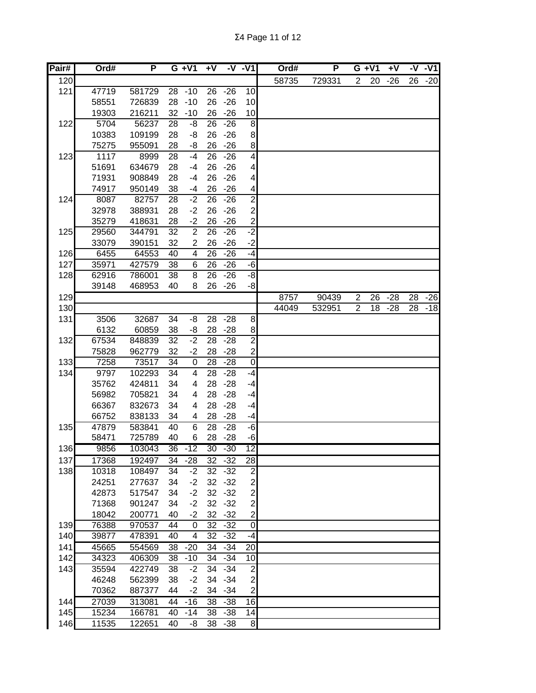| Pair# | Ord#  | P      |                 | $G + V1$                | $+V$            |           | $-V - V1$               | Ord#  | P      |                | $G + V1$ | $+V$  | -V              | $-V1$ |
|-------|-------|--------|-----------------|-------------------------|-----------------|-----------|-------------------------|-------|--------|----------------|----------|-------|-----------------|-------|
| 120   |       |        |                 |                         |                 |           |                         | 58735 | 729331 | $\overline{2}$ | 20       | $-26$ | 26              | $-20$ |
| 121   | 47719 | 581729 | 28              | $-10$                   | 26              | $-26$     | 10                      |       |        |                |          |       |                 |       |
|       | 58551 | 726839 | 28              | $-10$                   | 26              | $-26$     | 10                      |       |        |                |          |       |                 |       |
|       | 19303 | 216211 | 32              | $-10$                   | 26              | $-26$     | 10                      |       |        |                |          |       |                 |       |
| 122   | 5704  | 56237  | 28              | -8                      | 26              | $-26$     | 8                       |       |        |                |          |       |                 |       |
|       | 10383 | 109199 | 28              | -8                      | 26              | $-26$     | 8                       |       |        |                |          |       |                 |       |
|       | 75275 | 955091 | 28              | -8                      | 26              | $-26$     | 8                       |       |        |                |          |       |                 |       |
| 123   | 1117  | 8999   | 28              | $-4$                    | 26              | $-26$     | $\overline{4}$          |       |        |                |          |       |                 |       |
|       | 51691 | 634679 | 28              | $-4$                    | 26              | $-26$     | $\overline{\mathbf{4}}$ |       |        |                |          |       |                 |       |
|       | 71931 | 908849 | 28              | $-4$                    | 26              | $-26$     | $\overline{\mathbf{4}}$ |       |        |                |          |       |                 |       |
|       | 74917 | 950149 | 38              | $-4$                    | 26              | $-26$     | $\overline{4}$          |       |        |                |          |       |                 |       |
| 124   | 8087  | 82757  | 28              | $-2$                    | 26              | $-26$     | $\overline{2}$          |       |        |                |          |       |                 |       |
|       | 32978 | 388931 | 28              | $-2$                    | 26              | $-26$     | $\overline{2}$          |       |        |                |          |       |                 |       |
|       | 35279 | 418631 | 28              | $-2$                    | 26              | $-26$     | $\overline{2}$          |       |        |                |          |       |                 |       |
| 125   | 29560 | 344791 | 32              | $\overline{2}$          | 26              | $-26$     | $-2$                    |       |        |                |          |       |                 |       |
|       | 33079 | 390151 | 32              | $\overline{\mathbf{c}}$ | 26              | $-26$     | $-2$                    |       |        |                |          |       |                 |       |
| 126   | 6455  | 64553  | 40              | 4                       | 26              | $-26$     | $-4$                    |       |        |                |          |       |                 |       |
| 127   | 35971 | 427579 | 38              | 6                       | 26              | $-26$     | $-6$                    |       |        |                |          |       |                 |       |
| 128   | 62916 | 786001 | 38              | 8                       | 26              | $-26$     | $-8$                    |       |        |                |          |       |                 |       |
|       | 39148 | 468953 | 40              | 8                       | 26              | $-26$     | $-8$                    |       |        |                |          |       |                 |       |
| 129   |       |        |                 |                         |                 |           |                         | 8757  | 90439  | $\overline{2}$ | 26       | $-28$ | $\overline{28}$ | $-26$ |
| 130   |       |        |                 |                         |                 |           |                         | 44049 | 532951 | $\overline{2}$ | 18       | $-28$ | 28              | $-18$ |
| 131   | 3506  | 32687  | 34              | -8                      | 28              | $-28$     | 8                       |       |        |                |          |       |                 |       |
|       | 6132  | 60859  | 38              | -8                      | 28              | $-28$     | $\bf{8}$                |       |        |                |          |       |                 |       |
| 132   | 67534 | 848839 | 32              | $-2$                    | 28              | $-28$     | $\overline{2}$          |       |        |                |          |       |                 |       |
|       | 75828 | 962779 | 32              | $-2$                    | 28              | $-28$     | $\mathbf{2}$            |       |        |                |          |       |                 |       |
| 133   | 7258  | 73517  | $\overline{34}$ | $\boldsymbol{0}$        | 28              | $-28$     | $\overline{0}$          |       |        |                |          |       |                 |       |
| 134   | 9797  | 102293 | 34              | $\overline{\mathbf{4}}$ | 28              | $-28$     | $-4$                    |       |        |                |          |       |                 |       |
|       | 35762 | 424811 | 34              | 4                       | 28              | $-28$     | $-4$                    |       |        |                |          |       |                 |       |
|       | 56982 | 705821 | 34              | 4                       | 28              | $-28$     | $-4$                    |       |        |                |          |       |                 |       |
|       | 66367 | 832673 | 34              | 4                       | 28              | $-28$     | $-4$                    |       |        |                |          |       |                 |       |
|       | 66752 | 838133 | 34              | 4                       | 28              | $-28$     | $-4$                    |       |        |                |          |       |                 |       |
| 135   | 47879 | 583841 | 40              | $\overline{6}$          | 28              | $-28$     | $-6$                    |       |        |                |          |       |                 |       |
|       | 58471 | 725789 | 40              | 6                       | 28              | $-28$     | $-6$                    |       |        |                |          |       |                 |       |
| 136   | 9856  | 103043 | 36              | $-12$                   | 30              | $-30$     | 12                      |       |        |                |          |       |                 |       |
| 137   | 17368 | 192497 | 34              | $-28$                   | 32              | $-32$     | 28                      |       |        |                |          |       |                 |       |
| 138   | 10318 | 108497 | 34              | $-2$                    | 32              | $-32$     | $\overline{c}$          |       |        |                |          |       |                 |       |
|       | 24251 | 277637 | 34              | $-2$                    |                 | $32 - 32$ | $\mathbf{2}$            |       |        |                |          |       |                 |       |
|       | 42873 | 517547 | 34              | $-2$                    | 32              | $-32$     | $\mathbf{2}$            |       |        |                |          |       |                 |       |
|       | 71368 | 901247 | 34              | $-2$                    | 32              | $-32$     | $\mathbf{2}$            |       |        |                |          |       |                 |       |
|       | 18042 | 200771 | 40              | $-2$                    | 32              | $-32$     | $\mathbf{z}$            |       |        |                |          |       |                 |       |
| 139   | 76388 | 970537 | 44              | 0                       | 32              | $-32$     | $\overline{0}$          |       |        |                |          |       |                 |       |
| 140   | 39877 | 478391 | 40              | 4                       | 32              | $-32$     | -4                      |       |        |                |          |       |                 |       |
| 141   | 45665 | 554569 | 38              | $-20$                   | 34              | $-34$     | $\overline{20}$         |       |        |                |          |       |                 |       |
| 142   | 34323 | 406309 | 38              | $-10$                   | 34              | $-34$     | 10                      |       |        |                |          |       |                 |       |
| 143   | 35594 | 422749 | 38              | $-2$                    | 34              | $-34$     | $\overline{2}$          |       |        |                |          |       |                 |       |
|       | 46248 | 562399 | 38              | $-2$                    | 34              | $-34$     | $\overline{\mathbf{c}}$ |       |        |                |          |       |                 |       |
|       | 70362 | 887377 | 44              | $-2$                    | 34              | $-34$     | $\overline{c}$          |       |        |                |          |       |                 |       |
| 144   | 27039 | 313081 | 44              | $-16$                   | $\overline{38}$ | $-38$     | $\overline{6}$          |       |        |                |          |       |                 |       |
| 145   | 15234 | 166781 | 40              | $-14$                   | 38              | $-38$     | 14                      |       |        |                |          |       |                 |       |
| 146   | 11535 | 122651 | 40              | -8                      | 38              | $-38$     | 8                       |       |        |                |          |       |                 |       |